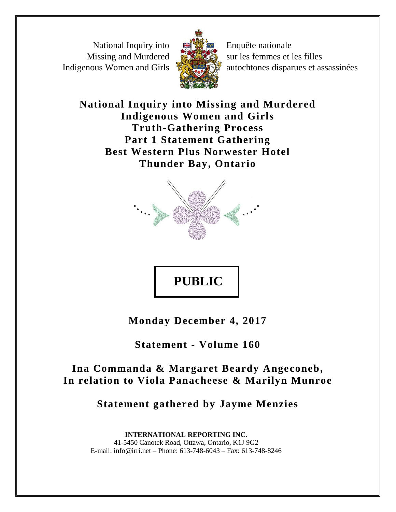National Inquiry into Missing and Murdered Indigenous Women and Girls



Enquête nationale sur les femmes et les filles autochtones disparues et assassinées

**National Inquiry into Missing and Murdered Indigenous Women and Girls Truth-Gathering Process Part 1 Statement Gathering Best Western Plus Norwester Hotel Thunder Bay, Ontario**



**PUBLIC**

**Monday December 4, 2017**

**Statement - Volume 160**

Ina Commanda & Margaret Beardy Angeconeb, **In relation to Viola Panacheese & Marilyn Munroe**

**Statement gathered by Jayme Menzies**

**INTERNATIONAL REPORTING INC.** 41-5450 Canotek Road, Ottawa, Ontario, K1J 9G2 E-mail: info@irri.net – Phone: 613-748-6043 – Fax: 613-748-8246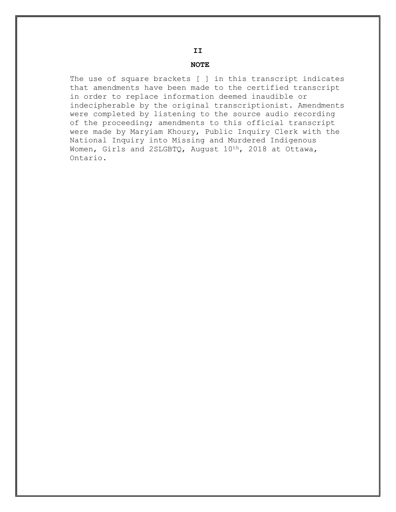The use of square brackets [ ] in this transcript indicates that amendments have been made to the certified transcript in order to replace information deemed inaudible or indecipherable by the original transcriptionist. Amendments were completed by listening to the source audio recording of the proceeding; amendments to this official transcript were made by Maryiam Khoury, Public Inquiry Clerk with the National Inquiry into Missing and Murdered Indigenous Women, Girls and 2SLGBTQ, August 10<sup>th</sup>, 2018 at Ottawa, Ontario.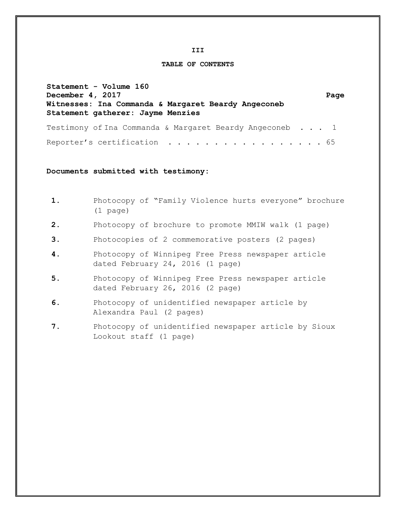**III** 

#### **TABLE OF CONTENTS**

**Statement - Volume 160 December 4, 2017** Page **Witnesses: Ina Commanda & Margaret Beardy Angeconeb Statement gatherer: Jayme Menzies** Testimony of Ina Commanda & Margaret Beardy Angeconeb . . . 1 Reporter's certification . . . . . . . . . . . . . . . . . 65

**Documents submitted with testimony:** 

- **1.** Photocopy of "Family Violence hurts everyone" brochure (1 page)
- **2.** Photocopy of brochure to promote MMIW walk (1 page)
- **3.** Photocopies of 2 commemorative posters (2 pages)
- **4.** Photocopy of Winnipeg Free Press newspaper article dated February 24, 2016 (1 page)
- **5.** Photocopy of Winnipeg Free Press newspaper article dated February 26, 2016 (2 page)
- **6.** Photocopy of unidentified newspaper article by Alexandra Paul (2 pages)
- **7.** Photocopy of unidentified newspaper article by Sioux Lookout staff (1 page)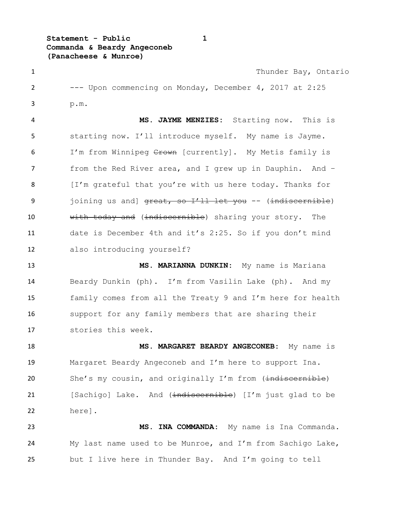**Statement - Public 1 Commanda & Beardy Angeconeb (Panacheese & Munroe)**

1 Thunder Bay, Ontario --- Upon commencing on Monday, December 4, 2017 at 2:25 p.m. **MS. JAYME MENZIES:** Starting now. This is starting now. I'll introduce myself. My name is Jayme. 6 I'm from Winnipeg Crown [currently]. My Metis family is from the Red River area, and I grew up in Dauphin. And – 8 [I'm grateful that you're with us here today. Thanks for 9 joining us and]  $\frac{1}{x}$  and  $\frac{1}{x}$  and  $\frac{1}{x}$  and  $\frac{1}{x}$  are  $\frac{1}{x}$  (indiscernible) 10 with today and (indiscernible) sharing your story. The date is December 4th and it's 2:25. So if you don't mind also introducing yourself? **MS. MARIANNA DUNKIN:** My name is Mariana Beardy Dunkin (ph). I'm from Vasilin Lake (ph). And my family comes from all the Treaty 9 and I'm here for health support for any family members that are sharing their stories this week.

 **MS. MARGARET BEARDY ANGECONEB:** My name is Margaret Beardy Angeconeb and I'm here to support Ina. 20 She's my cousin, and originally I'm from (indiscernible) 21 [Sachigo] Lake. And (indiscernible) [I'm just glad to be here].

 **MS. INA COMMANDA:** My name is Ina Commanda. My last name used to be Munroe, and I'm from Sachigo Lake, but I live here in Thunder Bay. And I'm going to tell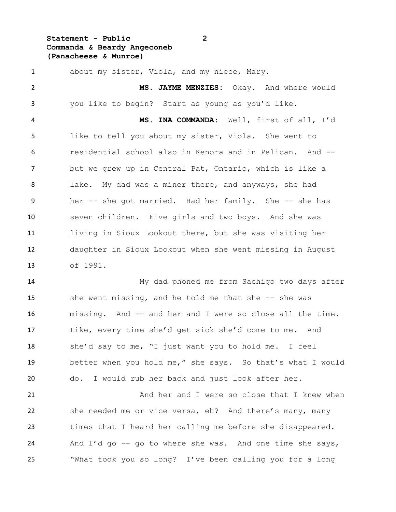### **Statement - Public 2 Commanda & Beardy Angeconeb (Panacheese & Munroe)**

 about my sister, Viola, and my niece, Mary. **MS. JAYME MENZIES:** Okay. And where would you like to begin? Start as young as you'd like. **MS. INA COMMANDA:** Well, first of all, I'd like to tell you about my sister, Viola. She went to residential school also in Kenora and in Pelican. And -- but we grew up in Central Pat, Ontario, which is like a lake. My dad was a miner there, and anyways, she had her -- she got married. Had her family. She -- she has seven children. Five girls and two boys. And she was living in Sioux Lookout there, but she was visiting her daughter in Sioux Lookout when she went missing in August of 1991.

 My dad phoned me from Sachigo two days after 15 she went missing, and he told me that she -- she was missing. And -- and her and I were so close all the time. Like, every time she'd get sick she'd come to me. And she'd say to me, "I just want you to hold me. I feel better when you hold me," she says. So that's what I would do. I would rub her back and just look after her.

21 And her and I were so close that I knew when she needed me or vice versa, eh? And there's many, many times that I heard her calling me before she disappeared. And I'd go -- go to where she was. And one time she says, "What took you so long? I've been calling you for a long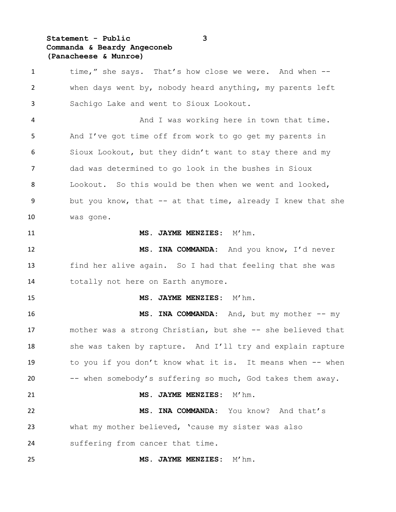### **Statement - Public 3 Commanda & Beardy Angeconeb (Panacheese & Munroe)**

1 time," she says. That's how close we were. And when -- when days went by, nobody heard anything, my parents left Sachigo Lake and went to Sioux Lookout. And I was working here in town that time. And I've got time off from work to go get my parents in Sioux Lookout, but they didn't want to stay there and my dad was determined to go look in the bushes in Sioux Lookout. So this would be then when we went and looked, but you know, that -- at that time, already I knew that she was gone. **MS. JAYME MENZIES**: M'hm. **MS. INA COMMANDA:** And you know, I'd never find her alive again. So I had that feeling that she was totally not here on Earth anymore. **MS. JAYME MENZIES:** M'hm. **MS. INA COMMANDA:** And, but my mother -- my mother was a strong Christian, but she -- she believed that 18 she was taken by rapture. And I'll try and explain rapture to you if you don't know what it is. It means when -- when -- when somebody's suffering so much, God takes them away. **MS. JAYME MENZIES:** M'hm. **MS. INA COMMANDA:** You know? And that's what my mother believed, 'cause my sister was also suffering from cancer that time. **MS. JAYME MENZIES:** M'hm.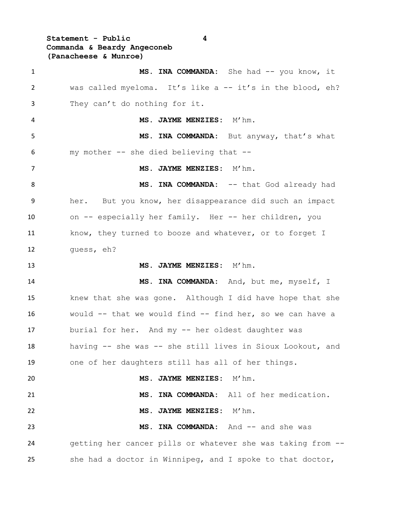**Statement - Public 4 Commanda & Beardy Angeconeb (Panacheese & Munroe)**

1 MS. INA COMMANDA: She had -- you know, it was called myeloma. It's like a -- it's in the blood, eh? They can't do nothing for it. **MS. JAYME MENZIES:** M'hm. **MS. INA COMMANDA:** But anyway, that's what my mother -- she died believing that -- **MS. JAYME MENZIES:** M'hm. 8 MS. INA COMMANDA: -- that God already had her. But you know, her disappearance did such an impact on -- especially her family. Her -- her children, you 11 know, they turned to booze and whatever, or to forget I guess, eh? **MS. JAYME MENZIES:** M'hm. **MS. INA COMMANDA:** And, but me, myself, I knew that she was gone. Although I did have hope that she would -- that we would find -- find her, so we can have a burial for her. And my -- her oldest daughter was having -- she was -- she still lives in Sioux Lookout, and one of her daughters still has all of her things. **MS. JAYME MENZIES:** M'hm. **MS. INA COMMANDA:** All of her medication. **MS. JAYME MENZIES:** M'hm. **MS. INA COMMANDA:** And -- and she was getting her cancer pills or whatever she was taking from -- she had a doctor in Winnipeg, and I spoke to that doctor,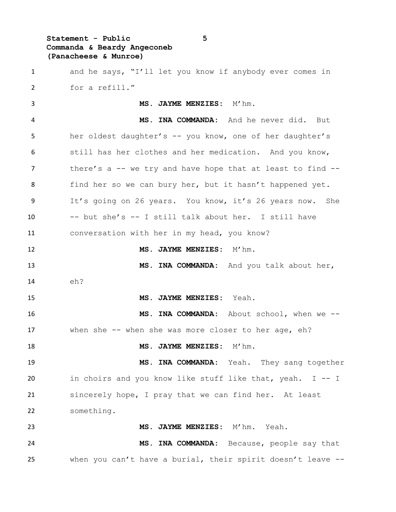# **Statement - Public 5 Commanda & Beardy Angeconeb (Panacheese & Munroe)**

| 1  | and he says, "I'll let you know if anybody ever comes in     |
|----|--------------------------------------------------------------|
| 2  | for a refill."                                               |
| 3  | MS. JAYME MENZIES: M'hm.                                     |
| 4  | MS. INA COMMANDA: And he never did. But                      |
| 5  | her oldest daughter's -- you know, one of her daughter's     |
| 6  | still has her clothes and her medication. And you know,      |
| 7  | there's a $-$ we try and have hope that at least to find $-$ |
| 8  | find her so we can bury her, but it hasn't happened yet.     |
| 9  | It's going on 26 years. You know, it's 26 years now. She     |
| 10 | -- but she's -- I still talk about her. I still have         |
| 11 | conversation with her in my head, you know?                  |
| 12 | MS. JAYME MENZIES: M'hm.                                     |
| 13 | MS. INA COMMANDA: And you talk about her,                    |
| 14 | eh?                                                          |
| 15 | MS. JAYME MENZIES: Yeah.                                     |
| 16 | MS. INA COMMANDA: About school, when we --                   |
| 17 | when she $--$ when she was more closer to her age, eh?       |
| 18 | $M'$ hm.<br>MS. JAYME MENZIES:                               |
| 19 | MS. INA COMMANDA: Yeah. They sang together                   |
| 20 | in choirs and you know like stuff like that, yeah. I -- I    |
| 21 | sincerely hope, I pray that we can find her. At least        |
| 22 | something.                                                   |
| 23 | MS. JAYME MENZIES: M'hm. Yeah.                               |
| 24 | MS. INA COMMANDA: Because, people say that                   |
| 25 | when you can't have a burial, their spirit doesn't leave --  |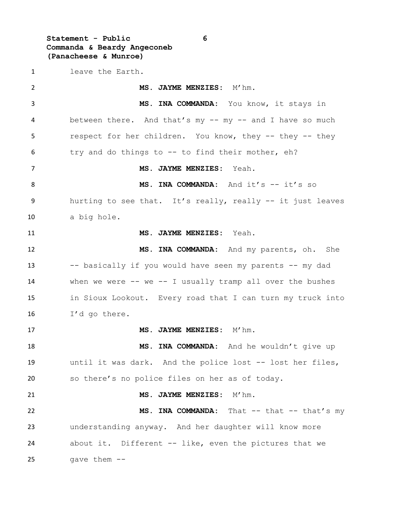**Statement - Public 6 Commanda & Beardy Angeconeb (Panacheese & Munroe)**

 leave the Earth. **MS. JAYME MENZIES:** M'hm. **MS. INA COMMANDA:** You know, it stays in between there. And that's my -- my -- and I have so much respect for her children. You know, they -- they -- they try and do things to -- to find their mother, eh? **MS. JAYME MENZIES:** Yeah. **MS. INA COMMANDA:** And it's -- it's so hurting to see that. It's really, really -- it just leaves a big hole. **MS. JAYME MENZIES:** Yeah. **MS. INA COMMANDA:** And my parents, oh. She -- basically if you would have seen my parents -- my dad when we were -- we -- I usually tramp all over the bushes in Sioux Lookout. Every road that I can turn my truck into I'd go there. 17 MS. JAYME MENZIES: M'hm. **MS. INA COMMANDA:** And he wouldn't give up until it was dark. And the police lost -- lost her files, so there's no police files on her as of today. **MS. JAYME MENZIES:** M'hm. **MS. INA COMMANDA:** That -- that -- that's my understanding anyway. And her daughter will know more about it. Different -- like, even the pictures that we gave them --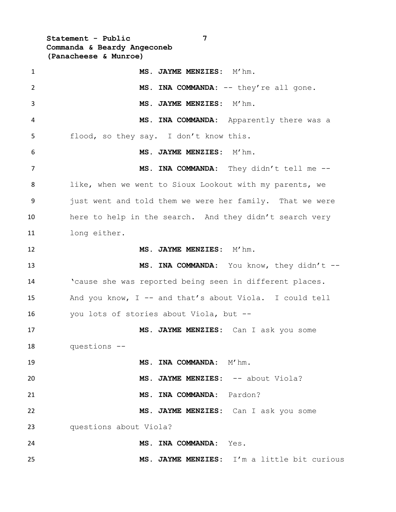**Statement - Public 7 Commanda & Beardy Angeconeb (Panacheese & Munroe)**

| $\mathbf{1}$   | MS. JAYME MENZIES: M'hm.                                 |
|----------------|----------------------------------------------------------|
| $\overline{2}$ | MS. INA COMMANDA: -- they're all gone.                   |
| 3              | MS. JAYME MENZIES: M'hm.                                 |
| 4              | MS. INA COMMANDA: Apparently there was a                 |
| 5              | flood, so they say. I don't know this.                   |
| 6              | MS. JAYME MENZIES: M'hm.                                 |
| 7              | MS. INA COMMANDA: They didn't tell me --                 |
| 8              | like, when we went to Sioux Lookout with my parents, we  |
| 9              | just went and told them we were her family. That we were |
| 10             | here to help in the search. And they didn't search very  |
| 11             | long either.                                             |
| 12             | MS. JAYME MENZIES: M'hm.                                 |
| 13             | MS. INA COMMANDA: You know, they didn't --               |
| 14             | 'cause she was reported being seen in different places.  |
| 15             | And you know, I -- and that's about Viola. I could tell  |
| 16             | you lots of stories about Viola, but --                  |
| 17             | MS. JAYME MENZIES: Can I ask you some                    |
| 18             | questions --                                             |
| 19             | MS. INA COMMANDA: M'hm.                                  |
| 20             | MS. JAYME MENZIES: -- about Viola?                       |
| 21             | MS. INA COMMANDA: Pardon?                                |
| 22             | MS. JAYME MENZIES: Can I ask you some                    |
| 23             | questions about Viola?                                   |
| 24             | MS. INA COMMANDA: Yes.                                   |
| 25             | MS. JAYME MENZIES: I'm a little bit curious              |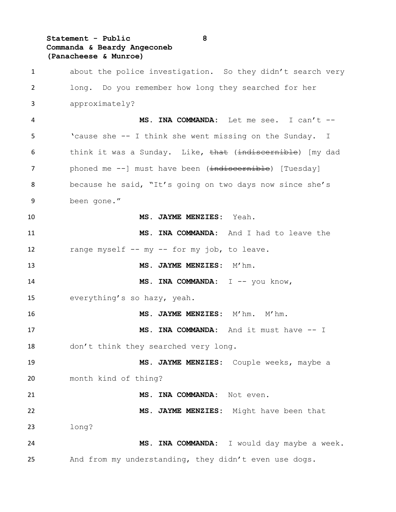### **Statement - Public 8 Commanda & Beardy Angeconeb (Panacheese & Munroe)**

 about the police investigation. So they didn't search very long. Do you remember how long they searched for her approximately? **MS. INA COMMANDA:** Let me see. I can't -- 'cause she -- I think she went missing on the Sunday. I 6 think it was a Sunday. Like, that (indiscernible) [my dad 7 phoned me --] must have been (indiscernible) [Tuesday] because he said, "It's going on two days now since she's been gone." **MS. JAYME MENZIES:** Yeah. **MS. INA COMMANDA:** And I had to leave the range myself -- my -- for my job, to leave. 13 MS. JAYME MENZIES: M'hm. **MS. INA COMMANDA:** I -- you know, everything's so hazy, yeah. **MS. JAYME MENZIES:** M'hm. M'hm. 17 MS. INA COMMANDA: And it must have  $-1$  don't think they searched very long. **MS. JAYME MENZIES:** Couple weeks, maybe a month kind of thing? **MS. INA COMMANDA:** Not even. **MS. JAYME MENZIES:** Might have been that long? **MS. INA COMMANDA:** I would day maybe a week. And from my understanding, they didn't even use dogs.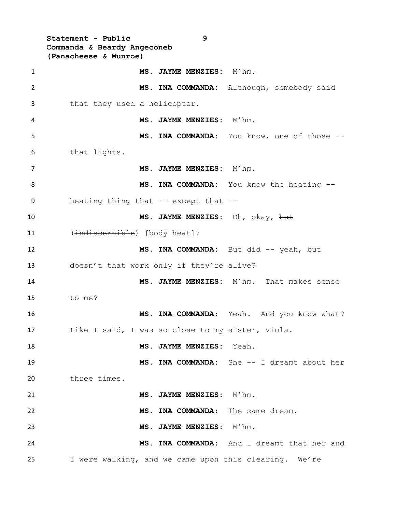**Statement - Public 9 Commanda & Beardy Angeconeb (Panacheese & Munroe) MS. JAYME MENZIES:** M'hm. **MS. INA COMMANDA:** Although, somebody said that they used a helicopter. **MS. JAYME MENZIES:** M'hm. **MS. INA COMMANDA:** You know, one of those -- that lights. **MS. JAYME MENZIES:** M'hm. 8 MS. INA COMMANDA: You know the heating -- heating thing that -- except that -- **MS. JAYME MENZIES:** Oh, okay, but 11 (indiscernible) [body heat]? 12 MS. INA COMMANDA: But did -- yeah, but doesn't that work only if they're alive? **MS. JAYME MENZIES:** M'hm. That makes sense to me? **MS. INA COMMANDA:** Yeah. And you know what? Like I said, I was so close to my sister, Viola. **MS. JAYME MENZIES:** Yeah. **MS. INA COMMANDA:** She -- I dreamt about her three times. **MS. JAYME MENZIES:** M'hm. **MS. INA COMMANDA:** The same dream. **MS. JAYME MENZIES:** M'hm. **MS. INA COMMANDA:** And I dreamt that her and I were walking, and we came upon this clearing. We're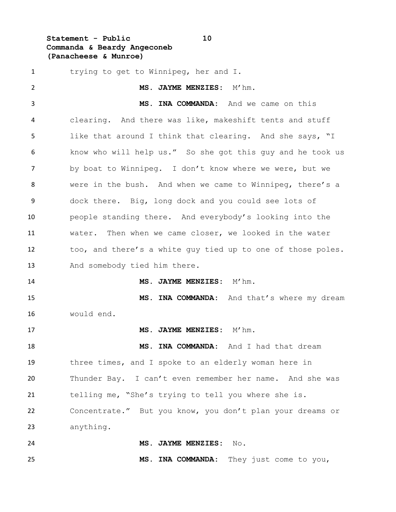**Statement - Public 10 Commanda & Beardy Angeconeb (Panacheese & Munroe)**

 trying to get to Winnipeg, her and I. **MS. JAYME MENZIES:** M'hm. **MS. INA COMMANDA:** And we came on this clearing. And there was like, makeshift tents and stuff like that around I think that clearing. And she says, "I know who will help us." So she got this guy and he took us by boat to Winnipeg. I don't know where we were, but we were in the bush. And when we came to Winnipeg, there's a dock there. Big, long dock and you could see lots of people standing there. And everybody's looking into the water. Then when we came closer, we looked in the water too, and there's a white guy tied up to one of those poles. 13 And somebody tied him there. **MS. JAYME MENZIES:** M'hm. **MS. INA COMMANDA:** And that's where my dream would end. **MS. JAYME MENZIES:** M'hm. **MS. INA COMMANDA:** And I had that dream three times, and I spoke to an elderly woman here in Thunder Bay. I can't even remember her name. And she was telling me, "She's trying to tell you where she is. Concentrate." But you know, you don't plan your dreams or anything. **MS. JAYME MENZIES:** No. **MS. INA COMMANDA:** They just come to you,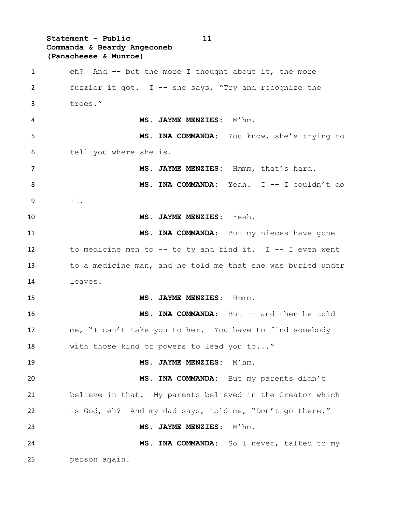**Statement - Public 11 Commanda & Beardy Angeconeb (Panacheese & Munroe)** eh? And -- but the more I thought about it, the more fuzzier it got. I -- she says, "Try and recognize the trees." **MS. JAYME MENZIES:** M'hm. **MS. INA COMMANDA:** You know, she's trying to tell you where she is. **MS. JAYME MENZIES:** Hmmm, that's hard. **MS. INA COMMANDA:** Yeah. I -- I couldn't do it. **MS. JAYME MENZIES:** Yeah. **MS. INA COMMANDA:** But my nieces have gone to medicine men to -- to ty and find it. I -- I even went to a medicine man, and he told me that she was buried under leaves. **MS. JAYME MENZIES:** Hmmm. **MS. INA COMMANDA:** But -- and then he told me, "I can't take you to her. You have to find somebody with those kind of powers to lead you to..." 19 MS. JAYME MENZIES: M'hm. **MS. INA COMMANDA:** But my parents didn't believe in that. My parents believed in the Creator which is God, eh? And my dad says, told me, "Don't go there." **MS. JAYME MENZIES:** M'hm. **MS. INA COMMANDA:** So I never, talked to my person again.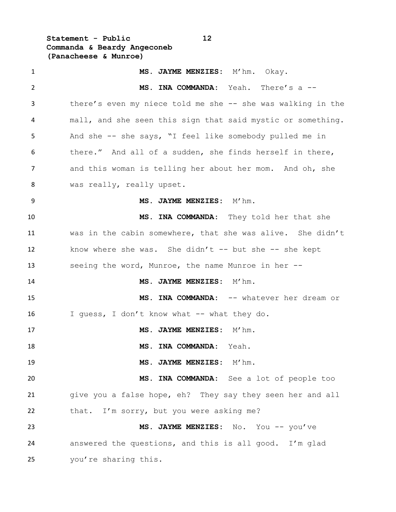**Statement - Public 12 Commanda & Beardy Angeconeb (Panacheese & Munroe)**

 **MS. JAYME MENZIES:** M'hm. Okay. **MS. INA COMMANDA:** Yeah. There's a -- 3 there's even my niece told me she -- she was walking in the mall, and she seen this sign that said mystic or something. And she -- she says, "I feel like somebody pulled me in there." And all of a sudden, she finds herself in there, and this woman is telling her about her mom. And oh, she 8 was really, really upset. **MS. JAYME MENZIES:** M'hm. **MS. INA COMMANDA:** They told her that she was in the cabin somewhere, that she was alive. She didn't 12 know where she was. She didn't -- but she -- she kept seeing the word, Munroe, the name Munroe in her -- **MS. JAYME MENZIES:** M'hm. **MS. INA COMMANDA:** -- whatever her dream or 16 I guess, I don't know what -- what they do. 17 MS. JAYME MENZIES: M'hm. **MS. INA COMMANDA:** Yeah. **MS. JAYME MENZIES:** M'hm. **MS. INA COMMANDA:** See a lot of people too give you a false hope, eh? They say they seen her and all 22 that. I'm sorry, but you were asking me? **MS. JAYME MENZIES:** No. You -- you've answered the questions, and this is all good. I'm glad you're sharing this.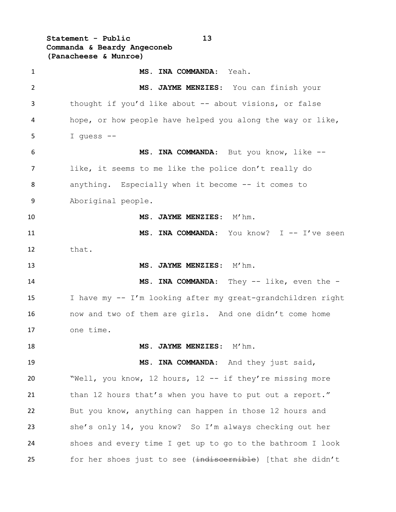**Statement - Public 13 Commanda & Beardy Angeconeb (Panacheese & Munroe)**

 **MS. INA COMMANDA**: Yeah. **MS. JAYME MENZIES**: You can finish your 3 thought if you'd like about -- about visions, or false hope, or how people have helped you along the way or like, I guess -- **MS. INA COMMANDA**: But you know, like -- like, it seems to me like the police don't really do anything. Especially when it become -- it comes to Aboriginal people. **MS. JAYME MENZIES**: M'hm. **MS. INA COMMANDA**: You know? I -- I've seen that. **MS. JAYME MENZIES**: M'hm. **MS. INA COMMANDA**: They -- like, even the - I have my -- I'm looking after my great-grandchildren right now and two of them are girls. And one didn't come home one time. **MS. JAYME MENZIES**: M'hm. **MS. INA COMMANDA**: And they just said, "Well, you know, 12 hours, 12 -- if they're missing more 21 than 12 hours that's when you have to put out a report." But you know, anything can happen in those 12 hours and she's only 14, you know? So I'm always checking out her shoes and every time I get up to go to the bathroom I look 25 for her shoes just to see (indiscernible) [that she didn't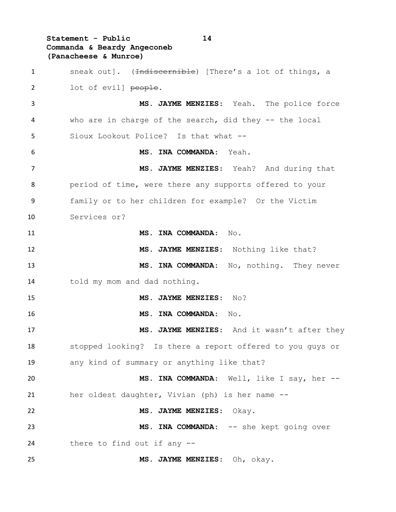**Statement - Public 14 Commanda & Beardy Angeconeb (Panacheese & Munroe)**

1 sneak out]. (Indiscernible) [There's a lot of things, a 2 lot of evill people. **MS. JAYME MENZIES**: Yeah. The police force who are in charge of the search, did they -- the local Sioux Lookout Police? Is that what -- **MS. INA COMMANDA**: Yeah. **MS. JAYME MENZIES**: Yeah? And during that period of time, were there any supports offered to your family or to her children for example? Or the Victim Services or? **MS. INA COMMANDA**: No. **MS. JAYME MENZIES**: Nothing like that? **MS. INA COMMANDA**: No, nothing. They never told my mom and dad nothing. **MS. JAYME MENZIES**: No? **MS. INA COMMANDA**: No. 17 MS. JAYME MENZIES: And it wasn't after they stopped looking? Is there a report offered to you guys or any kind of summary or anything like that? **MS. INA COMMANDA**: Well, like I say, her -- her oldest daughter, Vivian (ph) is her name -- **MS. JAYME MENZIES**: Okay. 23 MS. INA COMMANDA: -- she kept going over there to find out if any -- **MS. JAYME MENZIES**: Oh, okay.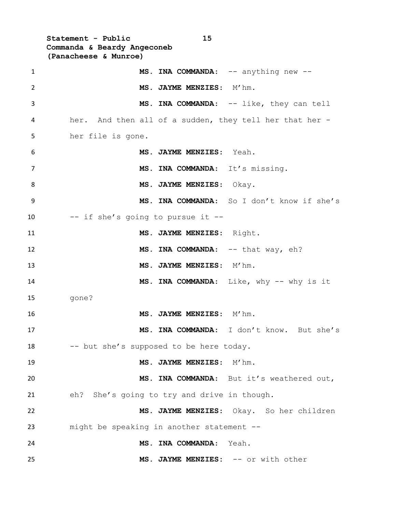**Statement - Public 15 Commanda & Beardy Angeconeb (Panacheese & Munroe)**

| $\mathbf{1}$    | MS. INA COMMANDA: -- anything new --                    |
|-----------------|---------------------------------------------------------|
| $\overline{2}$  | MS. JAYME MENZIES: M'hm.                                |
| 3               | MS. INA COMMANDA: -- like, they can tell                |
| 4               | her. And then all of a sudden, they tell her that her - |
| 5               | her file is gone.                                       |
| 6               | MS. JAYME MENZIES: Yeah.                                |
| $\overline{7}$  | MS. INA COMMANDA: It's missing.                         |
| 8               | MS. JAYME MENZIES: Okay.                                |
| 9               | MS. INA COMMANDA: So I don't know if she's              |
| 10 <sup>1</sup> | -- if she's going to pursue it --                       |
| 11              | MS. JAYME MENZIES: Right.                               |
| 12              | MS. INA COMMANDA: -- that way, eh?                      |
| 13              | MS. JAYME MENZIES: M'hm.                                |
| 14              | MS. INA COMMANDA: Like, why -- why is it                |
| 15              | qone?                                                   |
| 16              | MS. JAYME MENZIES: M'hm.                                |
| 17              | MS. INA COMMANDA: I don't know. But she's               |
| 18              | -- but she's supposed to be here today.                 |
| 19              | MS. JAYME MENZIES: M'hm.                                |
| 20              | MS. INA COMMANDA: But it's weathered out,               |
| 21              | eh? She's going to try and drive in though.             |
| 22              | MS. JAYME MENZIES: Okay. So her children                |
| 23              | might be speaking in another statement --               |
| 24              | MS. INA COMMANDA: Yeah.                                 |
| 25              | MS. JAYME MENZIES: -- or with other                     |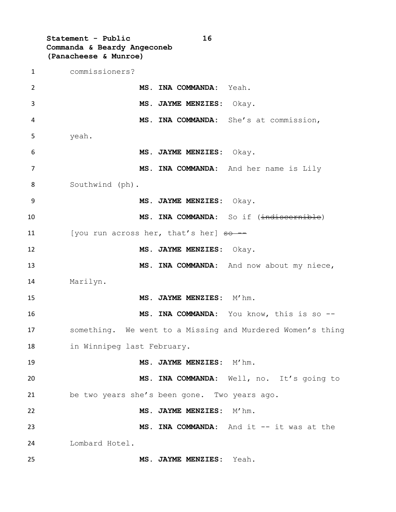**Statement - Public 16 Commanda & Beardy Angeconeb (Panacheese & Munroe)**

 commissioners? **MS. INA COMMANDA:** Yeah. **MS. JAYME MENZIES:** Okay. **MS. INA COMMANDA:** She's at commission, yeah. **MS. JAYME MENZIES:** Okay. **MS. INA COMMANDA:** And her name is Lily Southwind (ph). **MS. JAYME MENZIES:** Okay. **MS. INA COMMANDA:** So if (indiscernible) 11 [you run across her, that's her]  $\theta \rightarrow -\theta$  **MS. JAYME MENZIES:** Okay. **MS. INA COMMANDA:** And now about my niece, Marilyn. **MS. JAYME MENZIES:** M'hm. **MS. INA COMMANDA:** You know, this is so -- something. We went to a Missing and Murdered Women's thing in Winnipeg last February. 19 MS. JAYME MENZIES: M'hm. **MS. INA COMMANDA:** Well, no. It's going to be two years she's been gone. Two years ago. **MS. JAYME MENZIES:** M'hm. **MS. INA COMMANDA:** And it -- it was at the Lombard Hotel. **MS. JAYME MENZIES:** Yeah.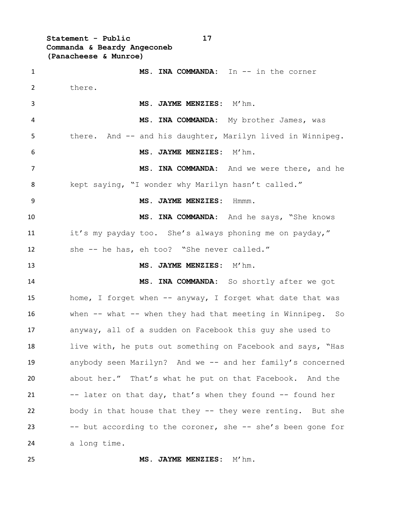**Statement - Public 17 Commanda & Beardy Angeconeb (Panacheese & Munroe)**

 **MS. INA COMMANDA:** In -- in the corner there. 3 MS. JAYME MENZIES: M'hm. **MS. INA COMMANDA:** My brother James, was 5 there. And -- and his daughter, Marilyn lived in Winnipeg. **MS. JAYME MENZIES:** M'hm. **MS. INA COMMANDA:** And we were there, and he kept saying, "I wonder why Marilyn hasn't called." **MS. JAYME MENZIES:** Hmmm. **MS. INA COMMANDA:** And he says, "She knows it's my payday too. She's always phoning me on payday," she -- he has, eh too? "She never called." **MS. JAYME MENZIES:** M'hm. **MS. INA COMMANDA:** So shortly after we got 15 home, I forget when -- anyway, I forget what date that was when -- what -- when they had that meeting in Winnipeg. So anyway, all of a sudden on Facebook this guy she used to 18 live with, he puts out something on Facebook and says, "Has anybody seen Marilyn? And we -- and her family's concerned about her." That's what he put on that Facebook. And the 21 -- later on that day, that's when they found -- found her body in that house that they -- they were renting. But she -- but according to the coroner, she -- she's been gone for a long time.

**MS. JAYME MENZIES:** M'hm.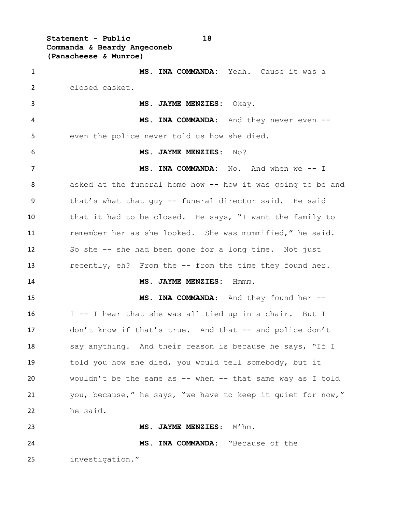**Statement - Public 18 Commanda & Beardy Angeconeb (Panacheese & Munroe)**

 **MS. INA COMMANDA:** Yeah. Cause it was a closed casket. **MS. JAYME MENZIES:** Okay. **MS. INA COMMANDA:** And they never even -- even the police never told us how she died. **MS. JAYME MENZIES:** No? **MS. INA COMMANDA:** No. And when we -- I asked at the funeral home how -- how it was going to be and that's what that guy -- funeral director said. He said that it had to be closed. He says, "I want the family to remember her as she looked. She was mummified," he said. So she -- she had been gone for a long time. Not just recently, eh? From the -- from the time they found her. **MS. JAYME MENZIES:** Hmmm. **MS. INA COMMANDA:** And they found her -- I -- I hear that she was all tied up in a chair. But I don't know if that's true. And that -- and police don't 18 say anything. And their reason is because he says, "If I told you how she died, you would tell somebody, but it wouldn't be the same as -- when -- that same way as I told you, because," he says, "we have to keep it quiet for now," he said. **MS. JAYME MENZIES:** M'hm. **MS. INA COMMANDA:** "Because of the investigation."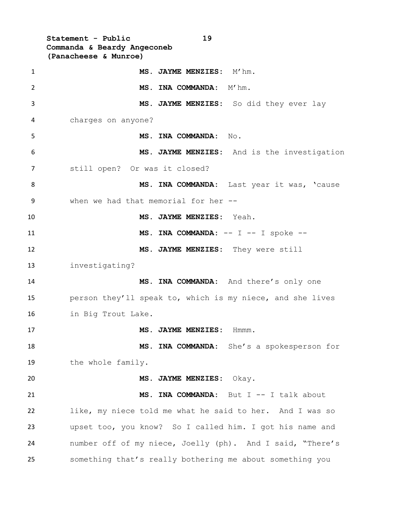**Statement - Public 19 Commanda & Beardy Angeconeb (Panacheese & Munroe)** 1 MS. JAYME MENZIES: M'hm. **MS. INA COMMANDA:** M'hm. **MS. JAYME MENZIES:** So did they ever lay charges on anyone? **MS. INA COMMANDA:** No. **MS. JAYME MENZIES:** And is the investigation still open? Or was it closed? 8 MS. INA COMMANDA: Last year it was, 'cause when we had that memorial for her -- **MS. JAYME MENZIES:** Yeah. **MS. INA COMMANDA:** -- I -- I spoke -- **MS. JAYME MENZIES:** They were still investigating? **MS. INA COMMANDA:** And there's only one person they'll speak to, which is my niece, and she lives in Big Trout Lake. 17 MS. JAYME MENZIES: Hmmm. **MS. INA COMMANDA:** She's a spokesperson for 19 the whole family. **MS. JAYME MENZIES:** Okay. **MS. INA COMMANDA:** But I -- I talk about like, my niece told me what he said to her. And I was so upset too, you know? So I called him. I got his name and number off of my niece, Joelly (ph). And I said, "There's something that's really bothering me about something you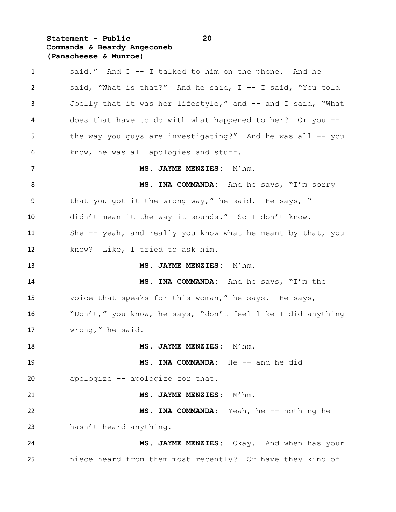# **Statement - Public 20 Commanda & Beardy Angeconeb (Panacheese & Munroe)**

| 1  | said." And I -- I talked to him on the phone. And he        |
|----|-------------------------------------------------------------|
| 2  | said, "What is that?" And he said, I -- I said, "You told   |
| 3  | Joelly that it was her lifestyle," and -- and I said, "What |
| 4  | does that have to do with what happened to her? Or you --   |
| 5  | the way you guys are investigating?" And he was all -- you  |
| 6  | know, he was all apologies and stuff.                       |
| 7  | MS. JAYME MENZIES: M'hm.                                    |
| 8  | MS. INA COMMANDA: And he says, "I'm sorry                   |
| 9  | that you got it the wrong way," he said. He says, "I        |
| 10 | didn't mean it the way it sounds." So I don't know.         |
| 11 | She -- yeah, and really you know what he meant by that, you |
| 12 | know? Like, I tried to ask him.                             |
| 13 | MS. JAYME MENZIES: M'hm.                                    |
| 14 | MS. INA COMMANDA: And he says, "I'm the                     |
| 15 | voice that speaks for this woman," he says. He says,        |
| 16 | "Don't," you know, he says, "don't feel like I did anything |
| 17 | wrong," he said.                                            |
| 18 | MS. JAYME MENZIES: M'hm.                                    |
| 19 | MS. INA COMMANDA: He -- and he did                          |
| 20 | apologize -- apologize for that.                            |
| 21 | MS. JAYME MENZIES: M'hm.                                    |
| 22 | MS. INA COMMANDA: Yeah, he -- nothing he                    |
| 23 | hasn't heard anything.                                      |
| 24 | MS. JAYME MENZIES: Okay. And when has your                  |
| 25 | niece heard from them most recently? Or have they kind of   |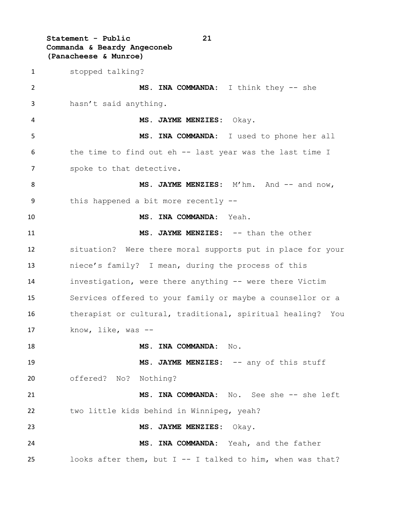**Statement - Public 21 Commanda & Beardy Angeconeb (Panacheese & Munroe)**

 stopped talking? **MS. INA COMMANDA:** I think they -- she hasn't said anything. **MS. JAYME MENZIES:** Okay. **MS. INA COMMANDA:** I used to phone her all the time to find out eh -- last year was the last time I 7 spoke to that detective. 8 MS. JAYME MENZIES: M'hm. And -- and now, this happened a bit more recently -- **MS. INA COMMANDA:** Yeah. **MS. JAYME MENZIES:** -- than the other situation? Were there moral supports put in place for your niece's family? I mean, during the process of this investigation, were there anything -- were there Victim Services offered to your family or maybe a counsellor or a therapist or cultural, traditional, spiritual healing? You know, like, was -- **MS. INA COMMANDA:** No. 19 MS. JAYME MENZIES:  $--$  any of this stuff offered? No? Nothing? **MS. INA COMMANDA:** No. See she -- she left two little kids behind in Winnipeg, yeah? **MS. JAYME MENZIES:** Okay. **MS. INA COMMANDA:** Yeah, and the father looks after them, but I -- I talked to him, when was that?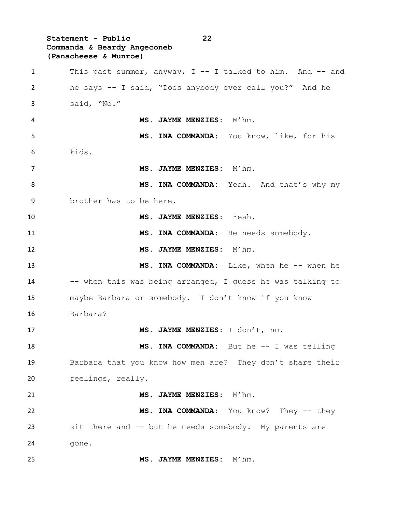# **Statement - Public 22 Commanda & Beardy Angeconeb (Panacheese & Munroe)**

 This past summer, anyway, I -- I talked to him. And -- and he says -- I said, "Does anybody ever call you?" And he said, "No." **MS. JAYME MENZIES:** M'hm. **MS. INA COMMANDA:** You know, like, for his kids. **MS. JAYME MENZIES:** M'hm. 8 MS. INA COMMANDA: Yeah. And that's why my brother has to be here. **MS. JAYME MENZIES:** Yeah. **MS. INA COMMANDA:** He needs somebody. 12 MS. JAYME MENZIES: M'hm. **MS. INA COMMANDA:** Like, when he -- when he 14 -- when this was being arranged, I guess he was talking to maybe Barbara or somebody. I don't know if you know Barbara? **MS. JAYME MENZIES:** I don't, no. **MS. INA COMMANDA:** But he -- I was telling Barbara that you know how men are? They don't share their feelings, really. **MS. JAYME MENZIES:** M'hm. **MS. INA COMMANDA:** You know? They -- they sit there and -- but he needs somebody. My parents are 24 gone. **MS. JAYME MENZIES:** M'hm.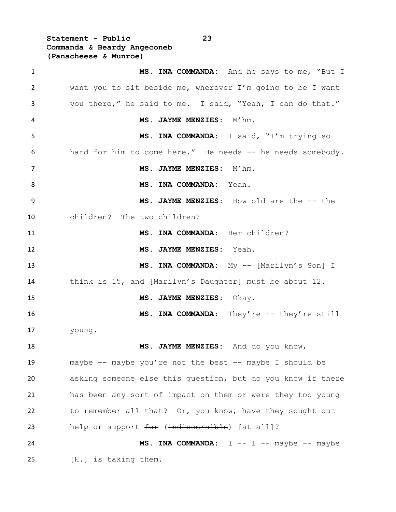**Statement - Public 23 Commanda & Beardy Angeconeb (Panacheese & Munroe)**

 **MS. INA COMMANDA:** And he says to me, "But I want you to sit beside me, wherever I'm going to be I want you there," he said to me. I said, "Yeah, I can do that." **MS. JAYME MENZIES:** M'hm. **MS. INA COMMANDA:** I said, "I'm trying so hard for him to come here." He needs -- he needs somebody. 7 MS. JAYME MENZIES: M'hm. **MS. INA COMMANDA:** Yeah. **MS. JAYME MENZIES:** How old are the -- the children? The two children? **MS. INA COMMANDA:** Her children? **MS. JAYME MENZIES:** Yeah. **MS. INA COMMANDA:** My -- [Marilyn's Son] I think is 15, and [Marilyn's Daughter] must be about 12. **MS. JAYME MENZIES:** Okay. **MS. INA COMMANDA:** They're -- they're still young. **MS. JAYME MENZIES:** And do you know, maybe -- maybe you're not the best -- maybe I should be asking someone else this question, but do you know if there has been any sort of impact on them or were they too young to remember all that? Or, you know, have they sought out 23 help or support for (indiscernible) [at all]? 24 MS. INA COMMANDA: I -- I -- maybe -- maybe 25 [H.] is taking them.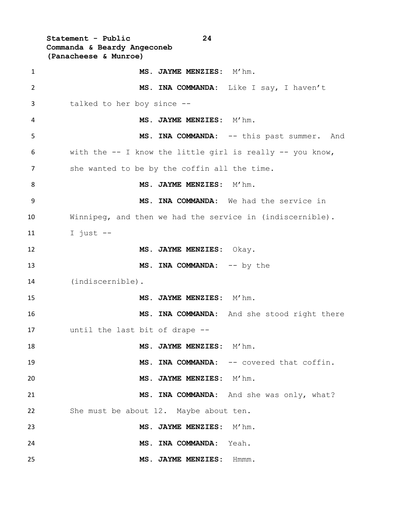**Statement - Public 24 Commanda & Beardy Angeconeb (Panacheese & Munroe)** 1 MS. JAYME MENZIES: M'hm. **MS. INA COMMANDA:** Like I say, I haven't talked to her boy since -- **MS. JAYME MENZIES:** M'hm. **MS. INA COMMANDA:** -- this past summer. And with the -- I know the little girl is really -- you know, 7 she wanted to be by the coffin all the time. 8 MS. JAYME MENZIES: M'hm. **MS. INA COMMANDA:** We had the service in Winnipeg, and then we had the service in (indiscernible). I just -- **MS. JAYME MENZIES:** Okay. **MS. INA COMMANDA:** -- by the (indiscernible). **MS. JAYME MENZIES:** M'hm. **MS. INA COMMANDA:** And she stood right there until the last bit of drape -- **MS. JAYME MENZIES:** M'hm. 19 MS. INA COMMANDA:  $--$  covered that coffin. **MS. JAYME MENZIES:** M'hm. **MS. INA COMMANDA:** And she was only, what? She must be about 12. Maybe about ten. **MS. JAYME MENZIES:** M'hm. **MS. INA COMMANDA:** Yeah. **MS. JAYME MENZIES:** Hmmm.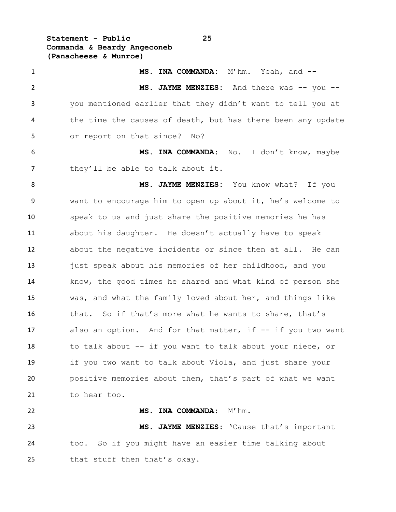**Statement - Public 25 Commanda & Beardy Angeconeb (Panacheese & Munroe)**

25 that stuff then that's okay.

 **MS. INA COMMANDA:** M'hm. Yeah, and -- 2 MS. JAYME MENZIES: And there was -- you -- you mentioned earlier that they didn't want to tell you at 4 the time the causes of death, but has there been any update or report on that since? No? **MS. INA COMMANDA:** No. I don't know, maybe 7 they'll be able to talk about it. **MS. JAYME MENZIES:** You know what? If you want to encourage him to open up about it, he's welcome to speak to us and just share the positive memories he has about his daughter. He doesn't actually have to speak about the negative incidents or since then at all. He can just speak about his memories of her childhood, and you know, the good times he shared and what kind of person she was, and what the family loved about her, and things like 16 that. So if that's more what he wants to share, that's 17 also an option. And for that matter, if -- if you two want 18 to talk about -- if you want to talk about your niece, or if you two want to talk about Viola, and just share your positive memories about them, that's part of what we want to hear too. **MS. INA COMMANDA:** M'hm. **MS. JAYME MENZIES:** 'Cause that's important too. So if you might have an easier time talking about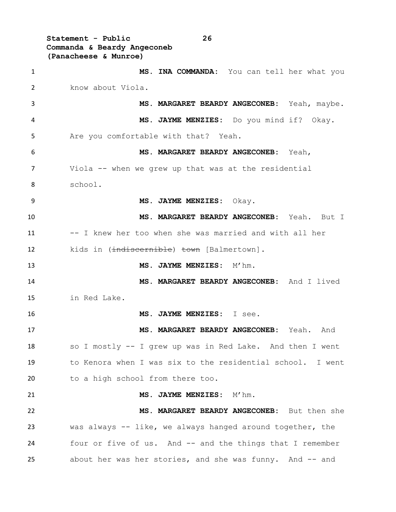**Statement - Public 26 Commanda & Beardy Angeconeb (Panacheese & Munroe)**

 **MS. INA COMMANDA:** You can tell her what you know about Viola. **MS. MARGARET BEARDY ANGECONEB:** Yeah, maybe. **MS. JAYME MENZIES:** Do you mind if? Okay. Are you comfortable with that? Yeah. **MS. MARGARET BEARDY ANGECONEB:** Yeah, Viola -- when we grew up that was at the residential school. **MS. JAYME MENZIES:** Okay. **MS. MARGARET BEARDY ANGECONEB:** Yeah. But I 11 -- I knew her too when she was married and with all her 12 kids in (<del>indiscernible</del>) town [Balmertown]. **MS. JAYME MENZIES:** M'hm. **MS. MARGARET BEARDY ANGECONEB:** And I lived in Red Lake. **MS. JAYME MENZIES:** I see. **MS. MARGARET BEARDY ANGECONEB:** Yeah. And so I mostly -- I grew up was in Red Lake. And then I went to Kenora when I was six to the residential school. I went to a high school from there too. **MS. JAYME MENZIES:** M'hm. **MS. MARGARET BEARDY ANGECONEB:** But then she was always -- like, we always hanged around together, the four or five of us. And -- and the things that I remember about her was her stories, and she was funny. And -- and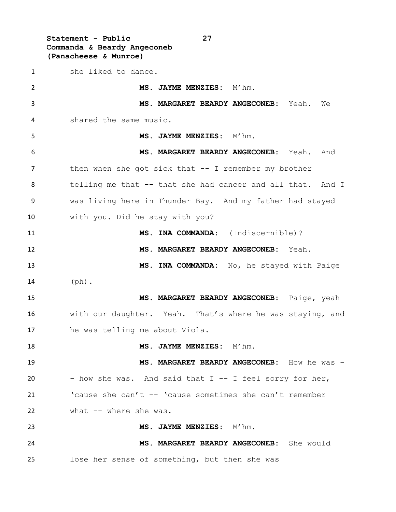**Statement - Public 27 Commanda & Beardy Angeconeb (Panacheese & Munroe)** she liked to dance. **MS. JAYME MENZIES:** M'hm. **MS. MARGARET BEARDY ANGECONEB:** Yeah. We shared the same music. **MS. JAYME MENZIES:** M'hm. **MS. MARGARET BEARDY ANGECONEB:** Yeah. And then when she got sick that -- I remember my brother telling me that -- that she had cancer and all that. And I was living here in Thunder Bay. And my father had stayed with you. Did he stay with you? **MS. INA COMMANDA:** (Indiscernible)? **MS. MARGARET BEARDY ANGECONEB:** Yeah. **MS. INA COMMANDA:** No, he stayed with Paige (ph). **MS. MARGARET BEARDY ANGECONEB:** Paige, yeah with our daughter. Yeah. That's where he was staying, and he was telling me about Viola. **MS. JAYME MENZIES:** M'hm. **MS. MARGARET BEARDY ANGECONEB:** How he was - - how she was. And said that I -- I feel sorry for her, 'cause she can't -- 'cause sometimes she can't remember what -- where she was. **MS. JAYME MENZIES:** M'hm. **MS. MARGARET BEARDY ANGECONEB:** She would lose her sense of something, but then she was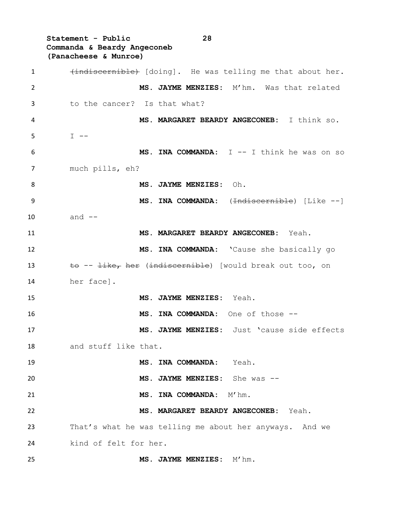**Statement - Public 28 Commanda & Beardy Angeconeb (Panacheese & Munroe)** 1 (indiscernible) [doing]. He was telling me that about her. **MS. JAYME MENZIES:** M'hm. Was that related to the cancer? Is that what? **MS. MARGARET BEARDY ANGECONEB:** I think so.  $5 \qquad \qquad \mathbb{I} \text{ -- }$  **MS. INA COMMANDA:** I -- I think he was on so much pills, eh? **MS. JAYME MENZIES:** Oh. **MS. INA COMMANDA:** (<del>Indiscernible</del>) [Like --] and -- **MS. MARGARET BEARDY ANGECONEB:** Yeah. **MS. INA COMMANDA:** 'Cause she basically go 13 to --  $\frac{1}{1}$  ike, her (indiscernible) [would break out too, on her face]. **MS. JAYME MENZIES:** Yeah. **MS. INA COMMANDA:** One of those -- **MS. JAYME MENZIES:** Just 'cause side effects and stuff like that. **MS. INA COMMANDA:** Yeah. **MS. JAYME MENZIES:** She was -- **MS. INA COMMANDA:** M'hm. **MS. MARGARET BEARDY ANGECONEB:** Yeah. That's what he was telling me about her anyways. And we kind of felt for her. **MS. JAYME MENZIES:** M'hm.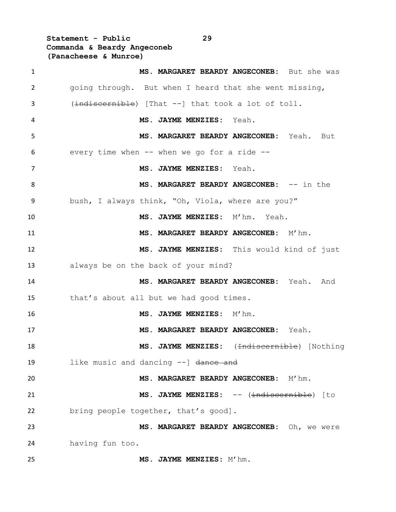**Statement - Public 29 Commanda & Beardy Angeconeb (Panacheese & Munroe)**

| $\mathbf{1}$   | MS. MARGARET BEARDY ANGECONEB: But she was             |
|----------------|--------------------------------------------------------|
| $\overline{2}$ | going through. But when I heard that she went missing, |
| 3              | (indiscernible) [That --] that took a lot of toll.     |
| 4              | MS. JAYME MENZIES: Yeah.                               |
| 5              | MS. MARGARET BEARDY ANGECONEB: Yeah. But               |
| 6              | every time when $--$ when we go for a ride $--$        |
| 7              | MS. JAYME MENZIES: Yeah.                               |
| 8              | MS. MARGARET BEARDY ANGECONEB: -- in the               |
| 9              | bush, I always think, "Oh, Viola, where are you?"      |
| 10             | MS. JAYME MENZIES: M'hm. Yeah.                         |
| 11             | MS. MARGARET BEARDY ANGECONEB: M'hm.                   |
| 12             | MS. JAYME MENZIES: This would kind of just             |
| 13             | always be on the back of your mind?                    |
| 14             | MS. MARGARET BEARDY ANGECONEB: Yeah. And               |
| 15             | that's about all but we had good times.                |
| 16             | MS. JAYME MENZIES: M'hm.                               |
| 17             | MS. MARGARET BEARDY ANGECONEB: Yeah.                   |
| 18             | MS. JAYME MENZIES: (Indiscernible) [Nothing            |
| 19             | like music and dancing --] dance and                   |
| 20             | MS. MARGARET BEARDY ANGECONEB: M'hm.                   |
| 21             | MS. JAYME MENZIES: -- (indiscernible) [to              |
| 22             | bring people together, that's good].                   |
| 23             | MS. MARGARET BEARDY ANGECONEB: Oh, we were             |
| 24             | having fun too.                                        |
| 25             | MS. JAYME MENZIES: M'hm.                               |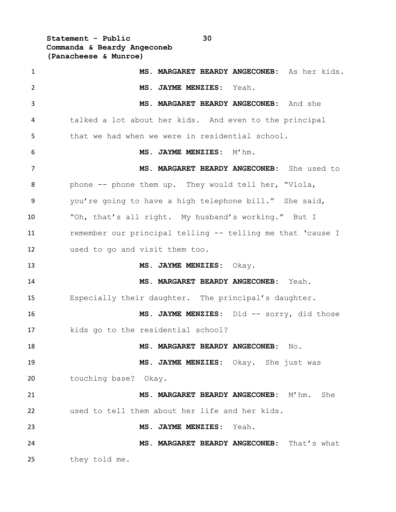**Statement - Public 30 Commanda & Beardy Angeconeb (Panacheese & Munroe)**

| $\mathbf{1}$   | MS. MARGARET BEARDY ANGECONEB: As her kids.                |
|----------------|------------------------------------------------------------|
| $\overline{2}$ | MS. JAYME MENZIES: Yeah.                                   |
| 3              | MS. MARGARET BEARDY ANGECONEB: And she                     |
| 4              | talked a lot about her kids. And even to the principal     |
| 5              | that we had when we were in residential school.            |
| 6              | MS. JAYME MENZIES: M'hm.                                   |
| 7              | MS. MARGARET BEARDY ANGECONEB: She used to                 |
| 8              | phone -- phone them up. They would tell her, "Viola,       |
| 9              | you're going to have a high telephone bill." She said,     |
| 10             | "Oh, that's all right. My husband's working." But I        |
| 11             | remember our principal telling -- telling me that 'cause I |
| 12             | used to go and visit them too.                             |
| 13             | MS. JAYME MENZIES: Okay.                                   |
| 14             | MS. MARGARET BEARDY ANGECONEB: Yeah.                       |
| 15             | Especially their daughter. The principal's daughter.       |
| 16             | MS. JAYME MENZIES: Did -- sorry, did those                 |
| 17             | kids go to the residential school?                         |
| 18             | MS. MARGARET BEARDY ANGECONEB:<br>No.                      |
| 19             | MS. JAYME MENZIES: Okay. She just was                      |
| 20             | touching base? Okay.                                       |
| 21             | MS. MARGARET BEARDY ANGECONEB: M'hm. She                   |
| 22             | used to tell them about her life and her kids.             |
| 23             | MS. JAYME MENZIES: Yeah.                                   |
| 24             | MS. MARGARET BEARDY ANGECONEB: That's what                 |
| 25             | they told me.                                              |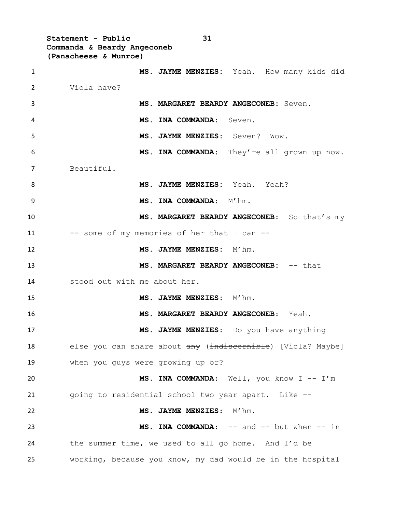**Statement - Public 31 Commanda & Beardy Angeconeb (Panacheese & Munroe)**

 **MS. JAYME MENZIES:** Yeah. How many kids did Viola have? **MS. MARGARET BEARDY ANGECONEB:** Seven. **MS. INA COMMANDA:** Seven. **MS. JAYME MENZIES:** Seven? Wow. **MS. INA COMMANDA:** They're all grown up now. Beautiful. **MS. JAYME MENZIES:** Yeah. Yeah? 9 MS. INA COMMANDA: M'hm. **MS. MARGARET BEARDY ANGECONEB:** So that's my 11 -- some of my memories of her that I can -- **MS. JAYME MENZIES:** M'hm. **MS. MARGARET BEARDY ANGECONEB:** -- that stood out with me about her. **MS. JAYME MENZIES:** M'hm. **MS. MARGARET BEARDY ANGECONEB:** Yeah. **MS. JAYME MENZIES:** Do you have anything 18 else you can share about any (indiscernible) [Viola? Maybe] when you guys were growing up or? **MS. INA COMMANDA**: Well, you know I -- I'm going to residential school two year apart. Like -- **MS. JAYME MENZIES**: M'hm. **MS. INA COMMANDA**: -- and -- but when -- in the summer time, we used to all go home. And I'd be working, because you know, my dad would be in the hospital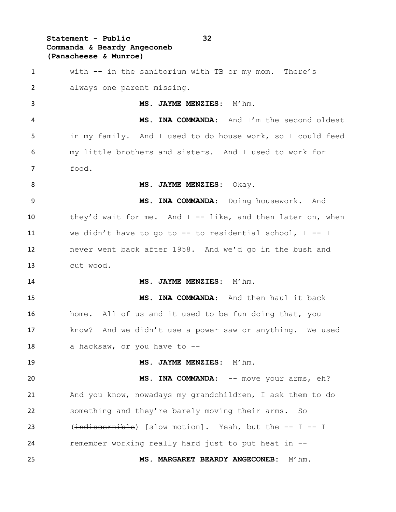## **Statement - Public 32 Commanda & Beardy Angeconeb (Panacheese & Munroe)**

 with -- in the sanitorium with TB or my mom. There's always one parent missing. 3 MS. JAYME MENZIES: M'hm. **MS. INA COMMANDA**: And I'm the second oldest in my family. And I used to do house work, so I could feed my little brothers and sisters. And I used to work for food. **MS. JAYME MENZIES**: Okay. **MS. INA COMMANDA**: Doing housework. And 10 they'd wait for me. And I -- like, and then later on, when we didn't have to go to -- to residential school, I -- I never went back after 1958. And we'd go in the bush and cut wood. **MS. JAYME MENZIES**: M'hm. **MS. INA COMMANDA**: And then haul it back home. All of us and it used to be fun doing that, you know? And we didn't use a power saw or anything. We used 18 a hacksaw, or you have to --19 MS. JAYME MENZIES: M'hm. **MS. INA COMMANDA:** -- move your arms, eh? And you know, nowadays my grandchildren, I ask them to do something and they're barely moving their arms. So 23 (indiscernible) [slow motion]. Yeah, but the -- I -- I remember working really hard just to put heat in -- **MS. MARGARET BEARDY ANGECONEB:** M'hm.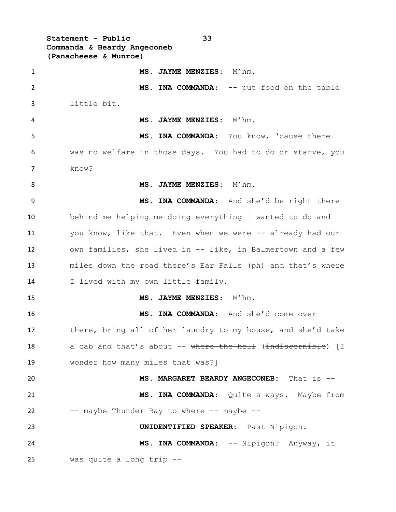**Statement - Public 33 Commanda & Beardy Angeconeb (Panacheese & Munroe)** 1 MS. JAYME MENZIES: M'hm. 2 MS. INA COMMANDA: -- put food on the table little bit. **MS. JAYME MENZIES**: M'hm. **MS. INA COMMANDA**: You know, 'cause there was no welfare in those days. You had to do or starve, you know? 8 MS. JAYME MENZIES: M'hm. **MS. INA COMMANDA**: And she'd be right there behind me helping me doing everything I wanted to do and you know, like that. Even when we were -- already had our own families, she lived in -- like, in Balmertown and a few miles down the road there's Ear Falls (ph) and that's where I lived with my own little family. **MS. JAYME MENZIES**: M'hm. **MS. INA COMMANDA**: And she'd come over 17 there, bring all of her laundry to my house, and she'd take 18 a cab and that's about -- where the hell (indiscernible) [I wonder how many miles that was?] **MS. MARGARET BEARDY ANGECONEB:** That is -- **MS. INA COMMANDA**: Quite a ways. Maybe from 22 -- maybe Thunder Bay to where -- maybe -- **UNIDENTIFIED SPEAKER:** Past Nipigon. **MS. INA COMMANDA**: -- Nipigon? Anyway, it was quite a long trip --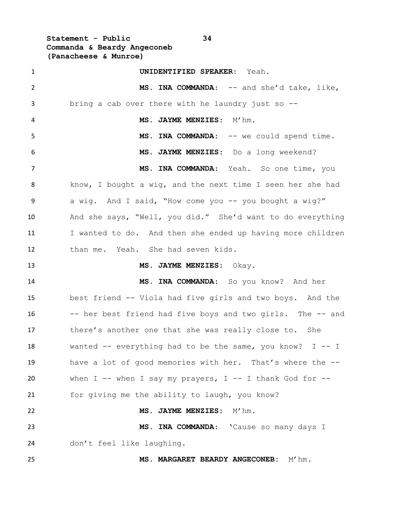**Statement - Public 34 Commanda & Beardy Angeconeb (Panacheese & Munroe)**

 **UNIDENTIFIED SPEAKER**: Yeah. 2 MS. INA COMMANDA: -- and she'd take, like, bring a cab over there with he laundry just so -- **MS. JAYME MENZIES**: M'hm. **MS. INA COMMANDA**: -- we could spend time. **MS. JAYME MENZIES**: Do a long weekend? **MS. INA COMMANDA**: Yeah. So one time, you know, I bought a wig, and the next time I seen her she had 9 a wig. And I said, "How come you -- you bought a wig?" And she says, "Well, you did." She'd want to do everything 11 I wanted to do. And then she ended up having more children than me. Yeah. She had seven kids. **MS. JAYME MENZIES**: Okay. **MS. INA COMMANDA**: So you know? And her best friend -- Viola had five girls and two boys. And the -- her best friend had five boys and two girls. The -- and 17 there's another one that she was really close to. She 18 wanted -- everything had to be the same, you know? I -- I have a lot of good memories with her. That's where the -- when I -- when I say my prayers, I -- I thank God for -- for giving me the ability to laugh, you know? **MS. JAYME MENZIES**: M'hm. **MS. INA COMMANDA**: 'Cause so many days I don't feel like laughing. **MS. MARGARET BEARDY ANGECONEB:** M'hm.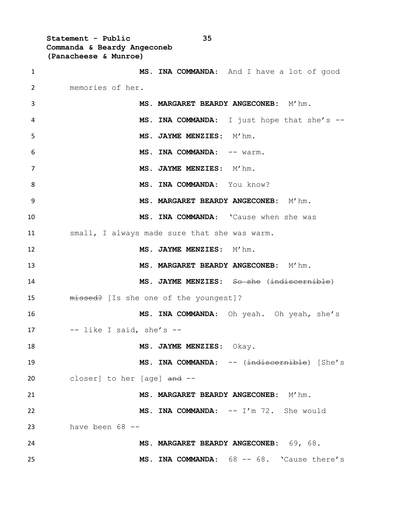**Statement - Public 35 Commanda & Beardy Angeconeb (Panacheese & Munroe)**

 **MS. INA COMMANDA**: And I have a lot of good memories of her. **MS. MARGARET BEARDY ANGECONEB:** M'hm. **MS. INA COMMANDA**: I just hope that she's -- 5 MS. JAYME MENZIES: M'hm. **6 MS. INA COMMANDA:**  $--$  warm. 7 MS. JAYME MENZIES: M'hm. 8 MS. INA COMMANDA: You know? **MS. MARGARET BEARDY ANGECONEB:** M'hm. **MS. INA COMMANDA**: 'Cause when she was small, I always made sure that she was warm. **MS. JAYME MENZIES**: M'hm. **MS. MARGARET BEARDY ANGECONEB:** M'hm. **MS. JAYME MENZIES**: So she (indiscernible) 15 missed? [Is she one of the youngest]? **MS. INA COMMANDA**: Oh yeah. Oh yeah, she's -- like I said, she's -- **MS. JAYME MENZIES**: Okay. **MS. INA COMMANDA**: -- (indiscernible) [She's 20 closer] to her [age] and -- **MS. MARGARET BEARDY ANGECONEB:** M'hm. **MS. INA COMMANDA**: -- I'm 72. She would have been 68 -- **MS. MARGARET BEARDY ANGECONEB:** 69, 68. **MS. INA COMMANDA**: 68 -- 68. 'Cause there's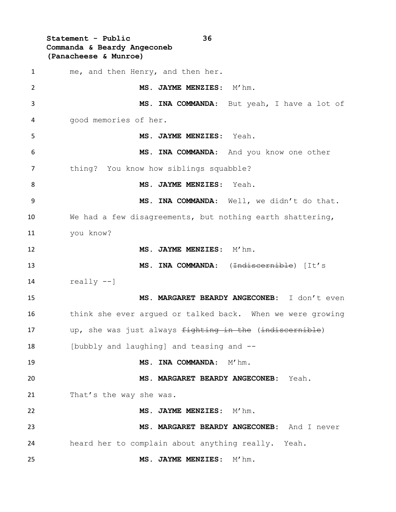**Statement - Public 36 Commanda & Beardy Angeconeb (Panacheese & Munroe)** me, and then Henry, and then her. **MS. JAYME MENZIES**: M'hm. **MS. INA COMMANDA**: But yeah, I have a lot of good memories of her. **MS. JAYME MENZIES**: Yeah. **MS. INA COMMANDA**: And you know one other thing? You know how siblings squabble? **MS. JAYME MENZIES**: Yeah. **MS. INA COMMANDA**: Well, we didn't do that. We had a few disagreements, but nothing earth shattering, you know? **MS. JAYME MENZIES**: M'hm. **MS. INA COMMANDA:** (<del>Indiscernible</del>) [It's really  $--$ ] **MS. MARGARET BEARDY ANGECONEB:** I don't even think she ever argued or talked back. When we were growing 17 up, she was just always fighting in the (indiscernible) [bubbly and laughing] and teasing and -- **MS. INA COMMANDA:** M'hm. **MS. MARGARET BEARDY ANGECONEB:** Yeah. 21 That's the way she was. **MS. JAYME MENZIES**: M'hm. **MS. MARGARET BEARDY ANGECONEB:** And I never heard her to complain about anything really. Yeah. **MS. JAYME MENZIES**: M'hm.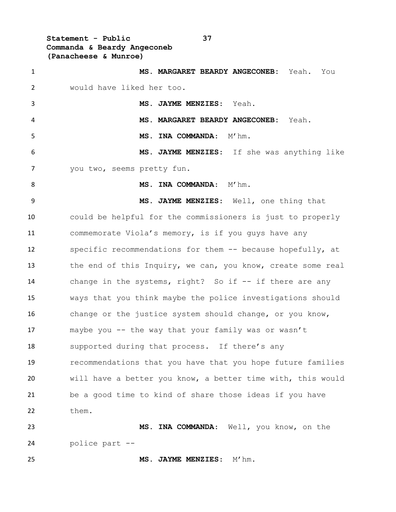**Statement - Public 37 Commanda & Beardy Angeconeb (Panacheese & Munroe)**

| $\mathbf{1}$   | MS. MARGARET BEARDY ANGECONEB: Yeah. You                    |
|----------------|-------------------------------------------------------------|
| $\overline{2}$ | would have liked her too.                                   |
| 3              | MS. JAYME MENZIES: Yeah.                                    |
| 4              | MS. MARGARET BEARDY ANGECONEB:<br>Yeah.                     |
| 5              | MS. INA COMMANDA: M'hm.                                     |
| 6              | MS. JAYME MENZIES: If she was anything like                 |
| 7              | you two, seems pretty fun.                                  |
| 8              | $M'$ hm.<br>MS. INA COMMANDA:                               |
| 9              | MS. JAYME MENZIES: Well, one thing that                     |
| 10             | could be helpful for the commissioners is just to properly  |
| 11             | commemorate Viola's memory, is if you guys have any         |
| 12             | specific recommendations for them -- because hopefully, at  |
| 13             | the end of this Inquiry, we can, you know, create some real |
| 14             | change in the systems, right? So if -- if there are any     |
| 15             | ways that you think maybe the police investigations should  |
| 16             | change or the justice system should change, or you know,    |
| 17             | maybe you -- the way that your family was or wasn't         |
| 18             | supported during that process. If there's any               |
| 19             | recommendations that you have that you hope future families |
| 20             | will have a better you know, a better time with, this would |
| 21             | be a good time to kind of share those ideas if you have     |
| 22             | them.                                                       |
| 23             | MS. INA COMMANDA: Well, you know, on the                    |
| 24             | police part --                                              |
| 25             | MS. JAYME MENZIES: M'hm.                                    |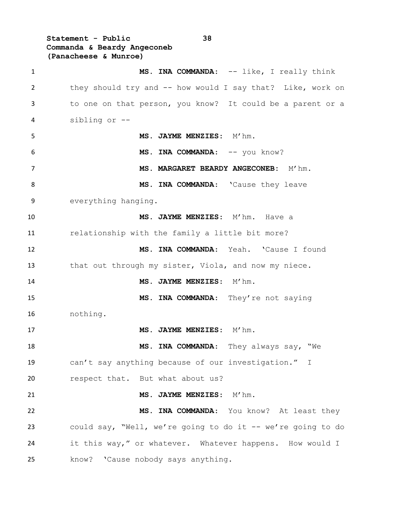**Statement - Public 38 Commanda & Beardy Angeconeb (Panacheese & Munroe)**

1 MS. INA COMMANDA: -- like, I really think they should try and -- how would I say that? Like, work on to one on that person, you know? It could be a parent or a sibling or -- 5 MS. JAYME MENZIES: M'hm. MS. INA COMMANDA:  $--$  you know? **MS. MARGARET BEARDY ANGECONEB:** M'hm. 8 MS. INA COMMANDA: 'Cause they leave everything hanging. **MS. JAYME MENZIES**: M'hm. Have a relationship with the family a little bit more? **MS. INA COMMANDA**: Yeah. 'Cause I found 13 that out through my sister, Viola, and now my niece. **MS. JAYME MENZIES**: M'hm. 15 MS. INA COMMANDA: They're not saying nothing. 17 MS. JAYME MENZIES: M'hm. **MS. INA COMMANDA**: They always say, "We can't say anything because of our investigation." I 20 respect that. But what about us? **MS. JAYME MENZIES**: M'hm. **MS. INA COMMANDA**: You know? At least they could say, "Well, we're going to do it -- we're going to do 24 it this way," or whatever. Whatever happens. How would I know? 'Cause nobody says anything.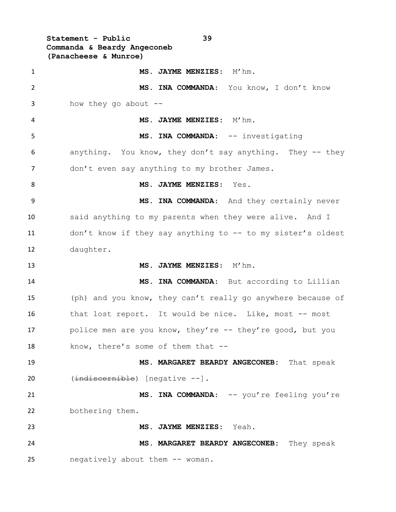**Statement - Public 39 Commanda & Beardy Angeconeb (Panacheese & Munroe) MS. JAYME MENZIES**: M'hm.

 **MS. INA COMMANDA**: You know, I don't know how they go about -- **MS. JAYME MENZIES**: M'hm. 5 MS. INA COMMANDA: -- investigating anything. You know, they don't say anything. They -- they don't even say anything to my brother James. **MS. JAYME MENZIES**: Yes. **MS. INA COMMANDA**: And they certainly never said anything to my parents when they were alive. And I don't know if they say anything to -- to my sister's oldest daughter. **MS. JAYME MENZIES**: M'hm. **MS. INA COMMANDA**: But according to Lillian (ph) and you know, they can't really go anywhere because of that lost report. It would be nice. Like, most -- most 17 police men are you know, they're -- they're good, but you 18 know, there's some of them that -- **MS. MARGARET BEARDY ANGECONEB:** That speak 20 (indiscernible) [negative --]. 21 MS. INA COMMANDA: -- you're feeling you're bothering them. **MS. JAYME MENZIES**: Yeah. **MS. MARGARET BEARDY ANGECONEB:** They speak negatively about them -- woman.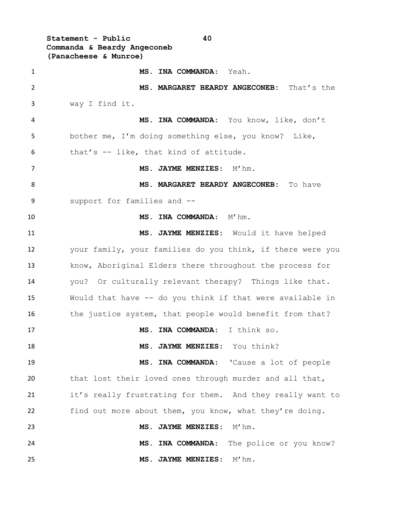**Statement - Public 40 Commanda & Beardy Angeconeb (Panacheese & Munroe) MS. INA COMMANDA**: Yeah. **MS. MARGARET BEARDY ANGECONEB:** That's the way I find it. **MS. INA COMMANDA**: You know, like, don't bother me, I'm doing something else, you know? Like, that's -- like, that kind of attitude. 7 MS. JAYME MENZIES: M'hm. **MS. MARGARET BEARDY ANGECONEB:** To have support for families and -- **MS. INA COMMANDA:** M'hm. **MS. JAYME MENZIES**: Would it have helped your family, your families do you think, if there were you know, Aboriginal Elders there throughout the process for you? Or culturally relevant therapy? Things like that. Would that have -- do you think if that were available in 16 the justice system, that people would benefit from that? **MS. INA COMMANDA**: I think so. **MS. JAYME MENZIES**: You think? **MS. INA COMMANDA**: 'Cause a lot of people that lost their loved ones through murder and all that, it's really frustrating for them. And they really want to find out more about them, you know, what they're doing. **MS. JAYME MENZIES**: M'hm. **MS. INA COMMANDA**: The police or you know? **MS. JAYME MENZIES**: M'hm.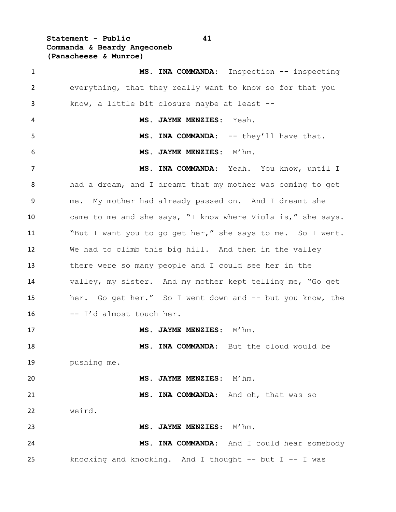**Statement - Public 41 Commanda & Beardy Angeconeb (Panacheese & Munroe)**

1 MS. INA COMMANDA: Inspection -- inspecting everything, that they really want to know so for that you know, a little bit closure maybe at least -- **MS. JAYME MENZIES**: Yeah. 5 MS. INA COMMANDA: -- they'll have that. **MS. JAYME MENZIES**: M'hm. **MS. INA COMMANDA**: Yeah. You know, until I had a dream, and I dreamt that my mother was coming to get me. My mother had already passed on. And I dreamt she came to me and she says, "I know where Viola is," she says. "But I want you to go get her," she says to me. So I went. We had to climb this big hill. And then in the valley there were so many people and I could see her in the valley, my sister. And my mother kept telling me, "Go get her. Go get her." So I went down and -- but you know, the  $-$  I'd almost touch her. 17 MS. JAYME MENZIES: M'hm. **MS. INA COMMANDA**: But the cloud would be pushing me. **MS. JAYME MENZIES**: M'hm. **MS. INA COMMANDA**: And oh, that was so weird. 23 MS. JAYME MENZIES: M'hm. **MS. INA COMMANDA**: And I could hear somebody knocking and knocking. And I thought -- but I -- I was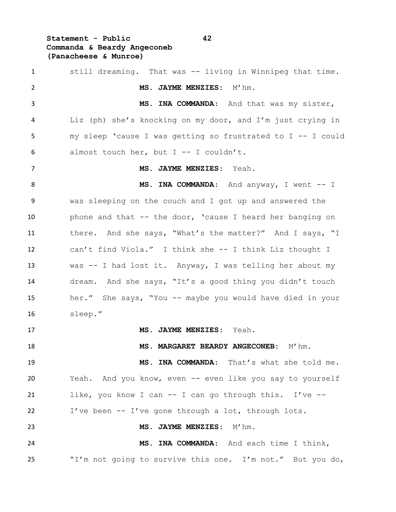# **Statement - Public 42 Commanda & Beardy Angeconeb (Panacheese & Munroe)**

| $\mathbf{1}$   | still dreaming. That was -- living in Winnipeg that time.   |
|----------------|-------------------------------------------------------------|
| 2              | MS. JAYME MENZIES: M'hm.                                    |
| 3              | MS. INA COMMANDA: And that was my sister,                   |
| 4              | Liz (ph) she's knocking on my door, and I'm just crying in  |
| 5              | my sleep 'cause I was getting so frustrated to I -- I could |
| 6              | almost touch her, but $I$ -- I couldn't.                    |
| $\overline{7}$ | MS. JAYME MENZIES: Yeah.                                    |
| 8              | MS. INA COMMANDA: And anyway, I went -- I                   |
| 9              | was sleeping on the couch and I got up and answered the     |
| 10             | phone and that $--$ the door, 'cause I heard her banging on |
| 11             | there. And she says, "What's the matter?" And I says, "I    |
| 12             | can't find Viola." I think she -- I think Liz thought I     |
| 13             | was -- I had lost it. Anyway, I was telling her about my    |
| 14             | dream. And she says, "It's a good thing you didn't touch    |
| 15             | her." She says, "You -- maybe you would have died in your   |
| 16             | sleep."                                                     |
| 17             | MS. JAYME MENZIES: Yeah.                                    |
| 18             | MS. MARGARET BEARDY ANGECONEB:<br>M'hm.                     |
| 19             | MS. INA COMMANDA: That's what she told me.                  |
| 20             | Yeah. And you know, even -- even like you say to yourself   |
| 21             | like, you know I can -- I can go through this. I've --      |
| 22             | I've been -- I've gone through a lot, through lots.         |
| 23             | MS. JAYME MENZIES: M'hm.                                    |
| 24             | MS. INA COMMANDA: And each time I think,                    |
| 25             | "I'm not going to survive this one. I'm not." But you do,   |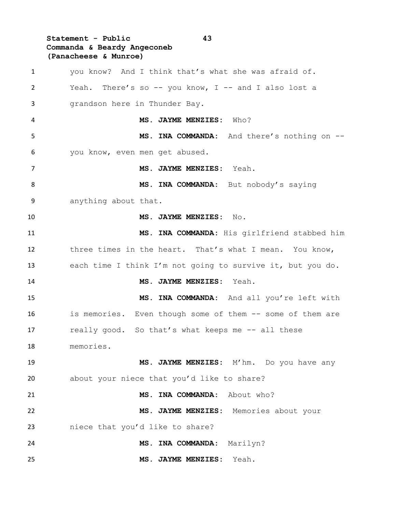# **Statement - Public 43 Commanda & Beardy Angeconeb (Panacheese & Munroe)**

| 1              | you know? And I think that's what she was afraid of.       |
|----------------|------------------------------------------------------------|
| $\overline{2}$ | Yeah. There's so -- you know, $I$ -- and I also lost a     |
| 3              | grandson here in Thunder Bay.                              |
| 4              | MS. JAYME MENZIES: Who?                                    |
| 5              | MS. INA COMMANDA: And there's nothing on --                |
| 6              | you know, even men get abused.                             |
| 7              | MS. JAYME MENZIES: Yeah.                                   |
| 8              | MS. INA COMMANDA: But nobody's saying                      |
| 9              | anything about that.                                       |
| 10             | MS. JAYME MENZIES: No.                                     |
| 11             | MS. INA COMMANDA: His girlfriend stabbed him               |
| 12             | three times in the heart. That's what I mean. You know,    |
| 13             | each time I think I'm not going to survive it, but you do. |
| 14             | MS. JAYME MENZIES: Yeah.                                   |
| 15             | MS. INA COMMANDA: And all you're left with                 |
| 16             | is memories. Even though some of them -- some of them are  |
| 17             | really good. So that's what keeps me -- all these          |
| 18             | memories.                                                  |
| 19             | MS. JAYME MENZIES: M'hm. Do you have any                   |
| 20             | about your niece that you'd like to share?                 |
| 21             | MS. INA COMMANDA: About who?                               |
| 22             | MS. JAYME MENZIES: Memories about your                     |
| 23             | niece that you'd like to share?                            |
| 24             | MS. INA COMMANDA:<br>Marilyn?                              |
| 25             | MS. JAYME MENZIES: Yeah.                                   |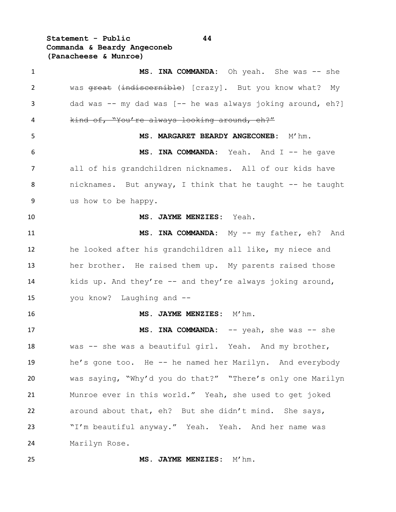**Statement - Public 44 Commanda & Beardy Angeconeb (Panacheese & Munroe)**

1 MS. INA COMMANDA: Oh yeah. She was -- she 2 was great (indiscernible) [crazy]. But you know what? My 3 dad was -- my dad was [-- he was always joking around, eh?] kind of, "You're always looking around, eh?" **MS. MARGARET BEARDY ANGECONEB:** M'hm. **MS. INA COMMANDA:** Yeah. And I -- he gave all of his grandchildren nicknames. All of our kids have 8 nicknames. But anyway, I think that he taught -- he taught us how to be happy. **MS. JAYME MENZIES:** Yeah. **MS. INA COMMANDA:** My -- my father, eh? And he looked after his grandchildren all like, my niece and her brother. He raised them up. My parents raised those kids up. And they're -- and they're always joking around, you know? Laughing and -- **MS. JAYME MENZIES:** M'hm. 17 MS. INA COMMANDA: -- yeah, she was -- she was -- she was a beautiful girl. Yeah. And my brother, he's gone too. He -- he named her Marilyn. And everybody was saying, "Why'd you do that?" "There's only one Marilyn Munroe ever in this world." Yeah, she used to get joked around about that, eh? But she didn't mind. She says, 23 "I'm beautiful anyway." Yeah. Yeah. And her name was Marilyn Rose.

**MS. JAYME MENZIES:** M'hm.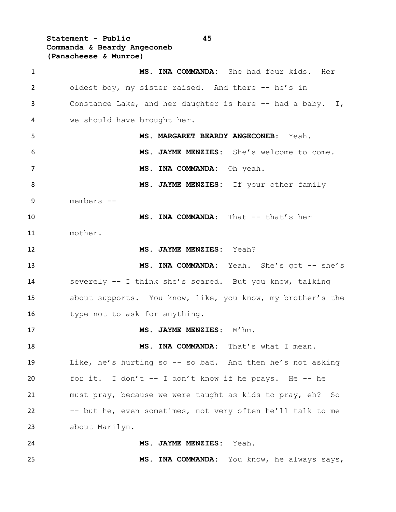**Statement - Public 45 Commanda & Beardy Angeconeb (Panacheese & Munroe)**

 **MS. INA COMMANDA:** She had four kids. Her 2 oldest boy, my sister raised. And there -- he's in Constance Lake, and her daughter is here –- had a baby. I, we should have brought her. **MS. MARGARET BEARDY ANGECONEB:** Yeah. **MS. JAYME MENZIES:** She's welcome to come. **MS. INA COMMANDA:** Oh yeah. 8 MS. JAYME MENZIES: If your other family members -- **MS. INA COMMANDA:** That -- that's her mother. **MS. JAYME MENZIES:** Yeah? **MS. INA COMMANDA:** Yeah. She's got -- she's severely -- I think she's scared. But you know, talking about supports. You know, like, you know, my brother's the 16 type not to ask for anything. 17 MS. JAYME MENZIES: M'hm. **MS. INA COMMANDA:** That's what I mean. Like, he's hurting so -- so bad. And then he's not asking for it. I don't -- I don't know if he prays. He -- he must pray, because we were taught as kids to pray, eh? So -- but he, even sometimes, not very often he'll talk to me about Marilyn. **MS. JAYME MENZIES:** Yeah. **MS. INA COMMANDA:** You know, he always says,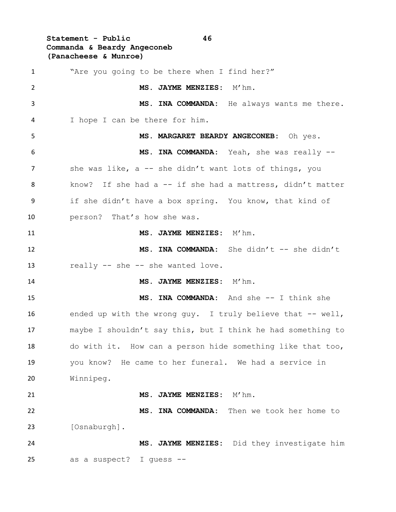**Statement - Public 46 Commanda & Beardy Angeconeb (Panacheese & Munroe)**

 "Are you going to be there when I find her?" **MS. JAYME MENZIES:** M'hm. **MS. INA COMMANDA:** He always wants me there. I hope I can be there for him. **MS. MARGARET BEARDY ANGECONEB:** Oh yes. **MS. INA COMMANDA:** Yeah, she was really -- 7 she was like, a -- she didn't want lots of things, you 8 know? If she had a -- if she had a mattress, didn't matter if she didn't have a box spring. You know, that kind of person? That's how she was. **MS. JAYME MENZIES:** M'hm. **MS. INA COMMANDA:** She didn't -- she didn't 13 really -- she -- she wanted love. **MS. JAYME MENZIES:** M'hm. **MS. INA COMMANDA:** And she -- I think she ended up with the wrong guy. I truly believe that -- well, maybe I shouldn't say this, but I think he had something to do with it. How can a person hide something like that too, you know? He came to her funeral. We had a service in Winnipeg. **MS. JAYME MENZIES:** M'hm. **MS. INA COMMANDA:** Then we took her home to [Osnaburgh]. **MS. JAYME MENZIES:** Did they investigate him as a suspect? I guess --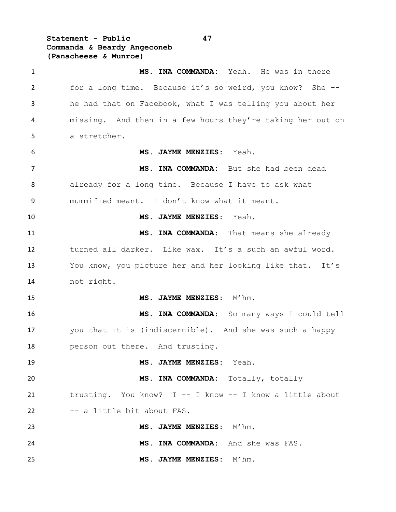**Statement - Public 47 Commanda & Beardy Angeconeb (Panacheese & Munroe)**

 **MS. INA COMMANDA:** Yeah. He was in there for a long time. Because it's so weird, you know? She -- he had that on Facebook, what I was telling you about her missing. And then in a few hours they're taking her out on a stretcher. **MS. JAYME MENZIES:** Yeah. **MS. INA COMMANDA:** But she had been dead already for a long time. Because I have to ask what mummified meant. I don't know what it meant. **MS. JAYME MENZIES:** Yeah. **MS. INA COMMANDA:** That means she already turned all darker. Like wax. It's a such an awful word. You know, you picture her and her looking like that. It's not right. **MS. JAYME MENZIES:** M'hm. **MS. INA COMMANDA:** So many ways I could tell you that it is (indiscernible). And she was such a happy person out there. And trusting. **MS. JAYME MENZIES:** Yeah. **MS. INA COMMANDA:** Totally, totally trusting. You know? I -- I know -- I know a little about -- a little bit about FAS. **MS. JAYME MENZIES:** M'hm. **MS. INA COMMANDA:** And she was FAS. **MS. JAYME MENZIES:** M'hm.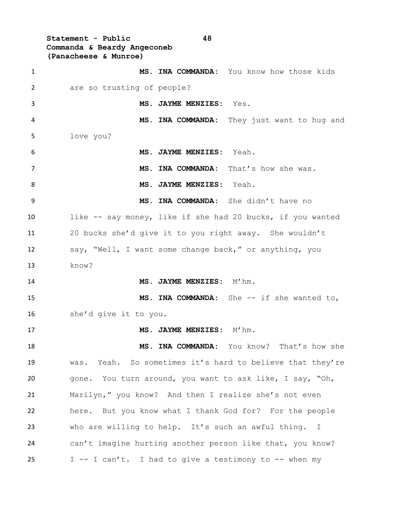**Statement - Public 48 Commanda & Beardy Angeconeb (Panacheese & Munroe) MS. INA COMMANDA:** You know how those kids are so trusting of people? **MS. JAYME MENZIES:** Yes. **MS. INA COMMANDA:** They just want to hug and love you? **MS. JAYME MENZIES:** Yeah. **MS. INA COMMANDA:** That's how she was. **MS. JAYME MENZIES:** Yeah. **MS. INA COMMANDA:** She didn't have no like -- say money, like if she had 20 bucks, if you wanted 20 bucks she'd give it to you right away. She wouldn't say, "Well, I want some change back," or anything, you know? **MS. JAYME MENZIES:** M'hm. **MS. INA COMMANDA:** She -- if she wanted to, she'd give it to you. 17 MS. JAYME MENZIES: M'hm. **MS. INA COMMANDA:** You know? That's how she was. Yeah. So sometimes it's hard to believe that they're gone. You turn around, you want to ask like, I say, "Oh, Marilyn," you know? And then I realize she's not even here. But you know what I thank God for? For the people who are willing to help. It's such an awful thing. I can't imagine hurting another person like that, you know?  $I -I can't$ . I had to give a testimony to  $-$ - when my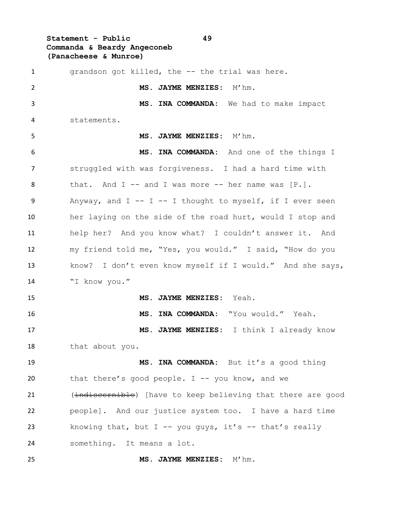### **Statement - Public 49 Commanda & Beardy Angeconeb (Panacheese & Munroe)**

 grandson got killed, the -- the trial was here. **MS. JAYME MENZIES:** M'hm. **MS. INA COMMANDA:** We had to make impact statements. **MS. JAYME MENZIES:** M'hm. **MS. INA COMMANDA:** And one of the things I struggled with was forgiveness. I had a hard time with 8 that. And I -- and I was more -- her name was [P.]. Anyway, and I -- I -- I thought to myself, if I ever seen her laying on the side of the road hurt, would I stop and help her? And you know what? I couldn't answer it. And my friend told me, "Yes, you would." I said, "How do you know? I don't even know myself if I would." And she says, "I know you." **MS. JAYME MENZIES:** Yeah. **MS. INA COMMANDA:** "You would." Yeah. **MS. JAYME MENZIES:** I think I already know that about you. **MS. INA COMMANDA:** But it's a good thing that there's good people. I -- you know, and we 21 (indiscernible) [have to keep believing that there are good people]. And our justice system too. I have a hard time 23 knowing that, but  $I$  -- you guys, it's -- that's really something. It means a lot.

**MS. JAYME MENZIES:** M'hm.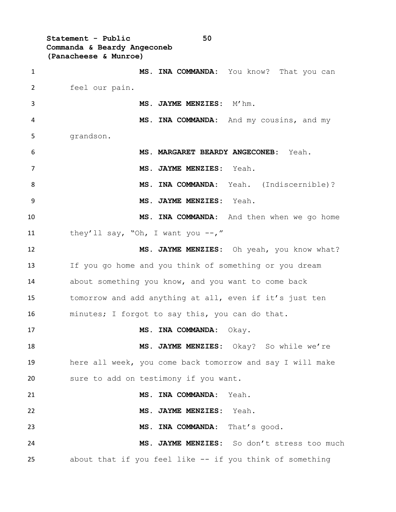**Statement - Public 50 Commanda & Beardy Angeconeb (Panacheese & Munroe)**

 **MS. INA COMMANDA:** You know? That you can feel our pain. **MS. JAYME MENZIES:** M'hm. **MS. INA COMMANDA:** And my cousins, and my grandson. **MS. MARGARET BEARDY ANGECONEB:** Yeah. **MS. JAYME MENZIES:** Yeah. **MS. INA COMMANDA:** Yeah. (Indiscernible)? **MS. JAYME MENZIES:** Yeah. **MS. INA COMMANDA:** And then when we go home 11 they'll say, "Oh, I want you --," **MS. JAYME MENZIES:** Oh yeah, you know what? If you go home and you think of something or you dream about something you know, and you want to come back tomorrow and add anything at all, even if it's just ten minutes; I forgot to say this, you can do that. **MS. INA COMMANDA:** Okay. **MS. JAYME MENZIES:** Okay? So while we're here all week, you come back tomorrow and say I will make sure to add on testimony if you want. **MS. INA COMMANDA:** Yeah. **MS. JAYME MENZIES:** Yeah. **MS. INA COMMANDA:** That's good. **MS. JAYME MENZIES:** So don't stress too much about that if you feel like -- if you think of something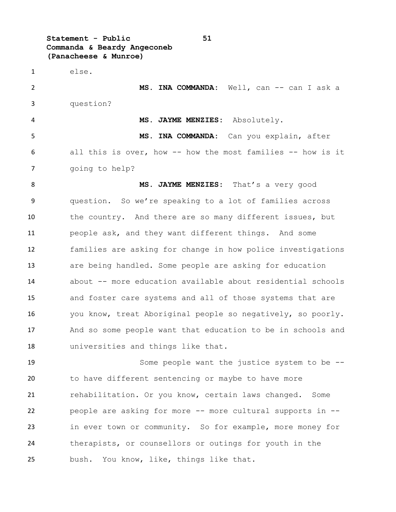**Statement - Public 51 Commanda & Beardy Angeconeb (Panacheese & Munroe)**

 else. **MS. INA COMMANDA:** Well, can -- can I ask a question? **MS. JAYME MENZIES:** Absolutely. **MS. INA COMMANDA:** Can you explain, after all this is over, how -- how the most families -- how is it going to help? **MS. JAYME MENZIES:** That's a very good

 question. So we're speaking to a lot of families across 10 the country. And there are so many different issues, but people ask, and they want different things. And some families are asking for change in how police investigations are being handled. Some people are asking for education about -- more education available about residential schools and foster care systems and all of those systems that are you know, treat Aboriginal people so negatively, so poorly. And so some people want that education to be in schools and universities and things like that.

 Some people want the justice system to be -- to have different sentencing or maybe to have more 21 rehabilitation. Or you know, certain laws changed. Some people are asking for more -- more cultural supports in -- in ever town or community. So for example, more money for therapists, or counsellors or outings for youth in the bush. You know, like, things like that.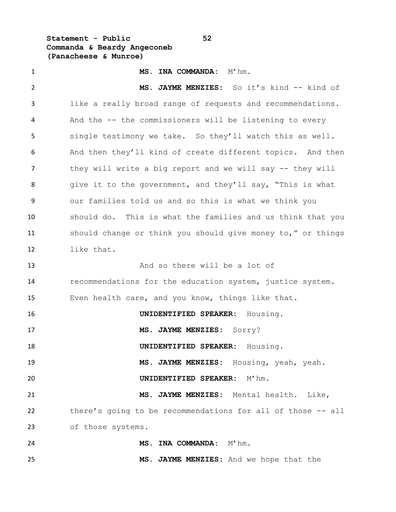**Statement - Public 52 Commanda & Beardy Angeconeb (Panacheese & Munroe)**

 **MS. INA COMMANDA:** M'hm. **MS. JAYME MENZIES:** So it's kind -- kind of like a really broad range of requests and recommendations. And the -- the commissioners will be listening to every single testimony we take. So they'll watch this as well. And then they'll kind of create different topics. And then they will write a big report and we will say -- they will 8 give it to the government, and they'll say, "This is what our families told us and so this is what we think you should do. This is what the families and us think that you should change or think you should give money to," or things like that. And so there will be a lot of recommendations for the education system, justice system. Even health care, and you know, things like that. **UNIDENTIFIED SPEAKER:** Housing. **MS. JAYME MENZIES:** Sorry? **UNIDENTIFIED SPEAKER:** Housing. **MS. JAYME MENZIES:** Housing, yeah, yeah. **UNIDENTIFIED SPEAKER:** M'hm. **MS. JAYME MENZIES:** Mental health. Like, there's going to be recommendations for all of those -- all of those systems. **MS. INA COMMANDA:** M'hm. **MS. JAYME MENZIES:** And we hope that the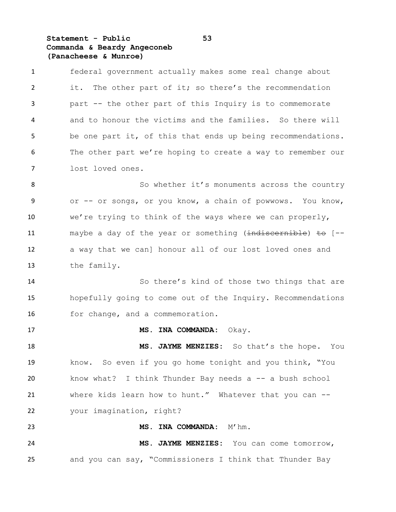### **Statement - Public 53 Commanda & Beardy Angeconeb (Panacheese & Munroe)**

 federal government actually makes some real change about 2 it. The other part of it; so there's the recommendation part -- the other part of this Inquiry is to commemorate and to honour the victims and the families. So there will be one part it, of this that ends up being recommendations. The other part we're hoping to create a way to remember our lost loved ones.

8 So whether it's monuments across the country or -- or songs, or you know, a chain of powwows. You know, we're trying to think of the ways where we can properly, 11 maybe a day of the year or something (indiscernible) to [-- a way that we can] honour all of our lost loved ones and the family.

 So there's kind of those two things that are hopefully going to come out of the Inquiry. Recommendations for change, and a commemoration.

**MS. INA COMMANDA:** Okay.

 **MS. JAYME MENZIES:** So that's the hope. You know. So even if you go home tonight and you think, "You know what? I think Thunder Bay needs a -- a bush school where kids learn how to hunt." Whatever that you can -- your imagination, right?

23 MS. INA COMMANDA: M'hm. **MS. JAYME MENZIES:** You can come tomorrow, and you can say, "Commissioners I think that Thunder Bay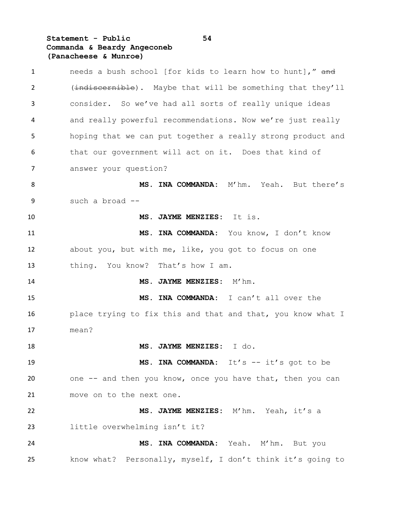# **Statement - Public 54 Commanda & Beardy Angeconeb (Panacheese & Munroe)**

| $\mathbf{1}$ | needs a bush school [for kids to learn how to hunt]," and   |
|--------------|-------------------------------------------------------------|
| 2            | (indiscernible). Maybe that will be something that they'll  |
| 3            | consider. So we've had all sorts of really unique ideas     |
| 4            | and really powerful recommendations. Now we're just really  |
| 5            | hoping that we can put together a really strong product and |
| 6            | that our government will act on it. Does that kind of       |
| 7            | answer your question?                                       |
| 8            | MS. INA COMMANDA: M'hm. Yeah. But there's                   |
| 9            | such a broad --                                             |
| 10           | MS. JAYME MENZIES: It is.                                   |
| 11           | MS. INA COMMANDA: You know, I don't know                    |
| 12           | about you, but with me, like, you got to focus on one       |
| 13           | thing. You know? That's how I am.                           |
| 14           | MS. JAYME MENZIES: M'hm.                                    |
| 15           | MS. INA COMMANDA: I can't all over the                      |
| 16           | place trying to fix this and that and that, you know what I |
| 17           | mean?                                                       |
| 18           | MS. JAYME MENZIES:<br>I do.                                 |
| 19           | MS. INA COMMANDA: It's -- it's got to be                    |
| 20           | one -- and then you know, once you have that, then you can  |
| 21           | move on to the next one.                                    |
| 22           | MS. JAYME MENZIES: M'hm. Yeah, it's a                       |
| 23           | little overwhelming isn't it?                               |
| 24           | MS. INA COMMANDA: Yeah. M'hm. But you                       |
| 25           | know what? Personally, myself, I don't think it's going to  |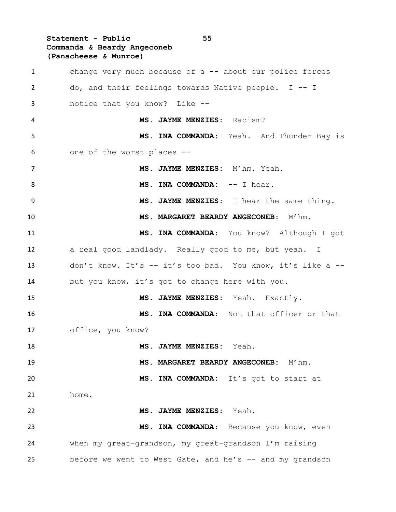**Statement - Public 55 Commanda & Beardy Angeconeb (Panacheese & Munroe)** change very much because of a -- about our police forces do, and their feelings towards Native people. I -- I notice that you know? Like -- **MS. JAYME MENZIES:** Racism? **MS. INA COMMANDA:** Yeah. And Thunder Bay is one of the worst places -- **MS. JAYME MENZIES:** M'hm. Yeah. 8 MS. INA COMMANDA:  $--$  I hear. **MS. JAYME MENZIES:** I hear the same thing. **MS. MARGARET BEARDY ANGECONEB:** M'hm. **MS. INA COMMANDA:** You know? Although I got 12 a real good landlady. Really good to me, but yeah. I don't know. It's -- it's too bad. You know, it's like a -- but you know, it's got to change here with you. **MS. JAYME MENZIES:** Yeah. Exactly. **MS. INA COMMANDA:** Not that officer or that office, you know? **MS. JAYME MENZIES:** Yeah. **MS. MARGARET BEARDY ANGECONEB:** M'hm. **MS. INA COMMANDA:** It's got to start at home. **MS. JAYME MENZIES:** Yeah. **MS. INA COMMANDA:** Because you know, even when my great-grandson, my great-grandson I'm raising 25 before we went to West Gate, and he's -- and my grandson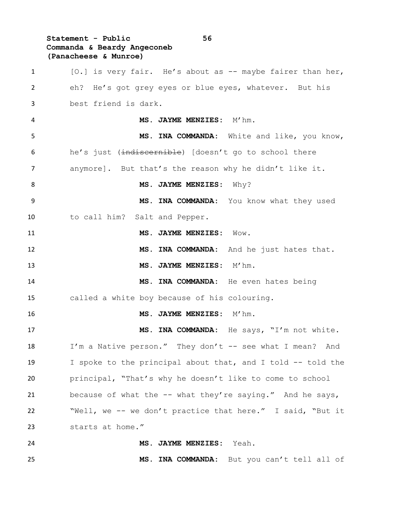### **Statement - Public 56 Commanda & Beardy Angeconeb (Panacheese & Munroe)**

1 [O.] is very fair. He's about as -- maybe fairer than her, eh? He's got grey eyes or blue eyes, whatever. But his best friend is dark. **MS. JAYME MENZIES:** M'hm. **MS. INA COMMANDA:** White and like, you know, 6 he's just (indiscernible) [doesn't go to school there anymore]. But that's the reason why he didn't like it. 8 MS. JAYME MENZIES: Why? **MS. INA COMMANDA:** You know what they used to call him? Salt and Pepper. **MS. JAYME MENZIES:** Wow. **MS. INA COMMANDA:** And he just hates that. 13 MS. JAYME MENZIES: M'hm. **MS. INA COMMANDA:** He even hates being called a white boy because of his colouring. **MS. JAYME MENZIES:** M'hm. **MS. INA COMMANDA:** He says, "I'm not white. I'm a Native person." They don't -- see what I mean? And I spoke to the principal about that, and I told -- told the principal, "That's why he doesn't like to come to school because of what the -- what they're saying." And he says, "Well, we -- we don't practice that here." I said, "But it starts at home." **MS. JAYME MENZIES:** Yeah. **MS. INA COMMANDA:** But you can't tell all of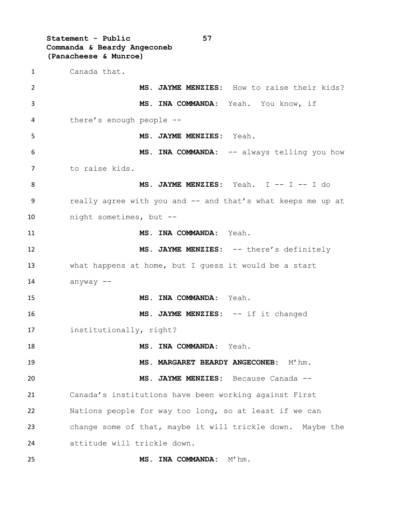**Statement - Public 57 Commanda & Beardy Angeconeb (Panacheese & Munroe)** Canada that. **MS. JAYME MENZIES:** How to raise their kids? **MS. INA COMMANDA:** Yeah. You know, if there's enough people -- **MS. JAYME MENZIES:** Yeah. **MS. INA COMMANDA:** -- always telling you how to raise kids. **MS. JAYME MENZIES:** Yeah. I -- I -- I do 9 really agree with you and -- and that's what keeps me up at night sometimes, but -- **MS. INA COMMANDA:** Yeah. 12 MS. JAYME MENZIES: -- there's definitely what happens at home, but I guess it would be a start anyway -- **MS. INA COMMANDA:** Yeah. **MS. JAYME MENZIES:** -- if it changed institutionally, right? **MS. INA COMMANDA:** Yeah. **MS. MARGARET BEARDY ANGECONEB:** M'hm. **MS. JAYME MENZIES:** Because Canada -- Canada's institutions have been working against First Nations people for way too long, so at least if we can change some of that, maybe it will trickle down. Maybe the attitude will trickle down. **MS. INA COMMANDA:** M'hm.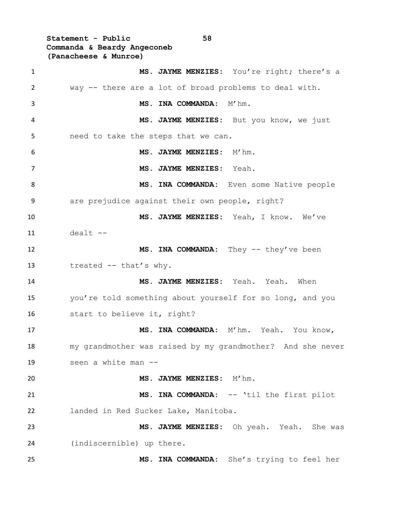**Statement - Public 58 Commanda & Beardy Angeconeb (Panacheese & Munroe)**

 **MS. JAYME MENZIES:** You're right; there's a way -- there are a lot of broad problems to deal with. 3 MS. INA COMMANDA: M'hm. **MS. JAYME MENZIES:** But you know, we just need to take the steps that we can. **MS. JAYME MENZIES:** M'hm. **MS. JAYME MENZIES:** Yeah. 8 MS. INA COMMANDA: Even some Native people are prejudice against their own people, right? **MS. JAYME MENZIES:** Yeah, I know. We've dealt  $-$  **MS. INA COMMANDA:** They -- they've been treated -- that's why. **MS. JAYME MENZIES:** Yeah. Yeah. When you're told something about yourself for so long, and you start to believe it, right? **MS. INA COMMANDA:** M'hm. Yeah. You know, my grandmother was raised by my grandmother? And she never seen a white man -- **MS. JAYME MENZIES:** M'hm. **MS. INA COMMANDA:** -- 'til the first pilot landed in Red Sucker Lake, Manitoba. **MS. JAYME MENZIES:** Oh yeah. Yeah. She was (indiscernible) up there. **MS. INA COMMANDA:** She's trying to feel her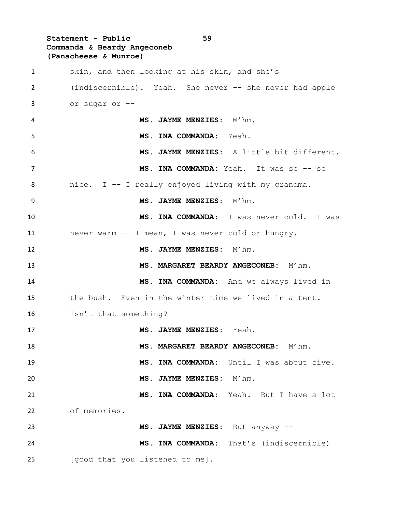**Statement - Public 59 Commanda & Beardy Angeconeb (Panacheese & Munroe)** skin, and then looking at his skin, and she's (indiscernible). Yeah. She never -- she never had apple or sugar or -- **MS. JAYME MENZIES:** M'hm. **MS. INA COMMANDA:** Yeah. **MS. JAYME MENZIES:** A little bit different. **MS. INA COMMANDA:** Yeah. It was so -- so nice. I -- I really enjoyed living with my grandma. **MS. JAYME MENZIES:** M'hm. **MS. INA COMMANDA:** I was never cold. I was never warm -- I mean, I was never cold or hungry. **MS. JAYME MENZIES:** M'hm. **MS. MARGARET BEARDY ANGECONEB:** M'hm. **MS. INA COMMANDA:** And we always lived in the bush. Even in the winter time we lived in a tent. Isn't that something? **MS. JAYME MENZIES:** Yeah. **MS. MARGARET BEARDY ANGECONEB:** M'hm. **MS. INA COMMANDA:** Until I was about five. **MS. JAYME MENZIES:** M'hm. **MS. INA COMMANDA:** Yeah. But I have a lot of memories. **MS. JAYME MENZIES:** But anyway -- **MS. INA COMMANDA:** That's (indiscornible) [good that you listened to me].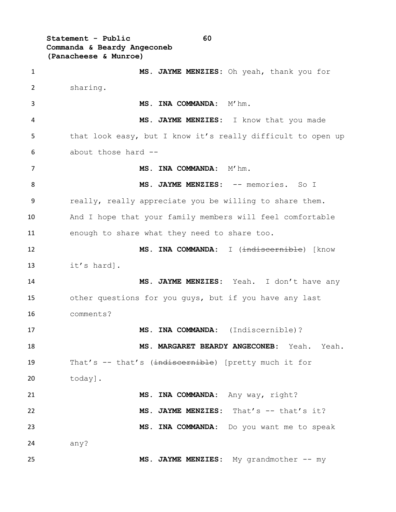**Statement - Public 60 Commanda & Beardy Angeconeb (Panacheese & Munroe)**

 **MS. JAYME MENZIES:** Oh yeah, thank you for sharing. 3 MS. INA COMMANDA: M'hm. **MS. JAYME MENZIES:** I know that you made 5 that look easy, but I know it's really difficult to open up about those hard -- **MS. INA COMMANDA:** M'hm. **MS. JAYME MENZIES:** -- memories. So I really, really appreciate you be willing to share them. And I hope that your family members will feel comfortable enough to share what they need to share too. **MS. INA COMMANDA:** I (indiscernible) [know it's hard]. **MS. JAYME MENZIES:** Yeah. I don't have any other questions for you guys, but if you have any last comments? **MS. INA COMMANDA:** (Indiscernible)? **MS. MARGARET BEARDY ANGECONEB:** Yeah. Yeah. 19 That's -- that's (indiscernible) [pretty much it for today]. **MS. INA COMMANDA:** Any way, right? **MS. JAYME MENZIES:** That's -- that's it? **MS. INA COMMANDA:** Do you want me to speak any? **MS. JAYME MENZIES:** My grandmother -- my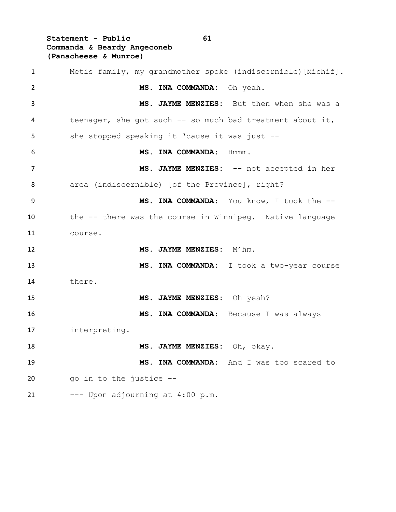**Statement - Public 61 Commanda & Beardy Angeconeb (Panacheese & Munroe)**

| $\mathbf{1}$   | Metis family, my grandmother spoke (indiscernible) [Michif]. |
|----------------|--------------------------------------------------------------|
| $\overline{2}$ | MS. INA COMMANDA: Oh yeah.                                   |
| 3              | MS. JAYME MENZIES: But then when she was a                   |
| 4              | teenager, she got such -- so much bad treatment about it,    |
| 5              | she stopped speaking it 'cause it was just --                |
| 6              | MS. INA COMMANDA:<br>Hmmm.                                   |
| 7              | MS. JAYME MENZIES: -- not accepted in her                    |
| 8              | area (indiscernible) [of the Province], right?               |
| 9              | MS. INA COMMANDA: You know, I took the --                    |
| 10             | the -- there was the course in Winnipeg. Native language     |
| 11             | course.                                                      |
| 12             | MS. JAYME MENZIES: M'hm.                                     |
| 13             | MS. INA COMMANDA: I took a two-year course                   |
| 14             | there.                                                       |
| 15             | MS. JAYME MENZIES: Oh yeah?                                  |
| 16             | MS. INA COMMANDA: Because I was always                       |
| 17             | interpreting.                                                |
| 18             | MS. JAYME MENZIES: Oh, okay.                                 |
| 19             | MS. INA COMMANDA: And I was too scared to                    |
| 20             | go in to the justice --                                      |
| 21             | --- Upon adjourning at 4:00 p.m.                             |